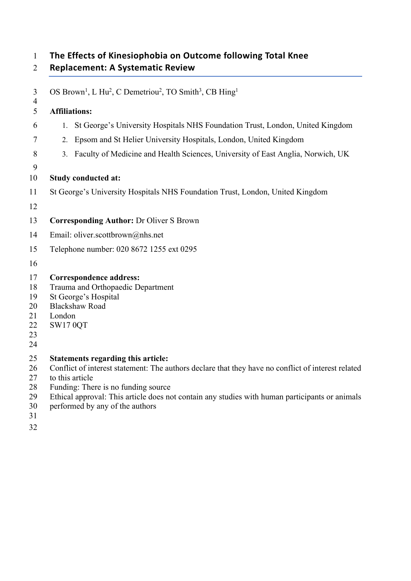# **The Effects of Kinesiophobia on Outcome following Total Knee Replacement: A Systematic Review**

| $\mathfrak{Z}$<br>$\overline{4}$             | OS Brown <sup>1</sup> , L Hu <sup>2</sup> , C Demetriou <sup>2</sup> , TO Smith <sup>3</sup> , CB Hing <sup>1</sup>                                                                                                                                                                                                                            |
|----------------------------------------------|------------------------------------------------------------------------------------------------------------------------------------------------------------------------------------------------------------------------------------------------------------------------------------------------------------------------------------------------|
| 5                                            | <b>Affiliations:</b>                                                                                                                                                                                                                                                                                                                           |
| 6                                            | St George's University Hospitals NHS Foundation Trust, London, United Kingdom<br>1.                                                                                                                                                                                                                                                            |
| $\overline{7}$                               | Epsom and St Helier University Hospitals, London, United Kingdom<br>2.                                                                                                                                                                                                                                                                         |
| 8                                            | Faculty of Medicine and Health Sciences, University of East Anglia, Norwich, UK<br>3 <sub>1</sub>                                                                                                                                                                                                                                              |
| 9<br>10                                      | <b>Study conducted at:</b>                                                                                                                                                                                                                                                                                                                     |
| 11                                           | St George's University Hospitals NHS Foundation Trust, London, United Kingdom                                                                                                                                                                                                                                                                  |
| 12                                           |                                                                                                                                                                                                                                                                                                                                                |
| 13                                           | <b>Corresponding Author: Dr Oliver S Brown</b>                                                                                                                                                                                                                                                                                                 |
| 14                                           | Email: oliver.scottbrown@nhs.net                                                                                                                                                                                                                                                                                                               |
| 15                                           | Telephone number: 020 8672 1255 ext 0295                                                                                                                                                                                                                                                                                                       |
| 16                                           |                                                                                                                                                                                                                                                                                                                                                |
| 17<br>18<br>19<br>20<br>21<br>22<br>23<br>24 | <b>Correspondence address:</b><br>Trauma and Orthopaedic Department<br>St George's Hospital<br><b>Blackshaw Road</b><br>London<br><b>SW17 0QT</b>                                                                                                                                                                                              |
| 25<br>26<br>27<br>28<br>29<br>30<br>31<br>32 | <b>Statements regarding this article:</b><br>Conflict of interest statement: The authors declare that they have no conflict of interest related<br>to this article<br>Funding: There is no funding source<br>Ethical approval: This article does not contain any studies with human participants or animals<br>performed by any of the authors |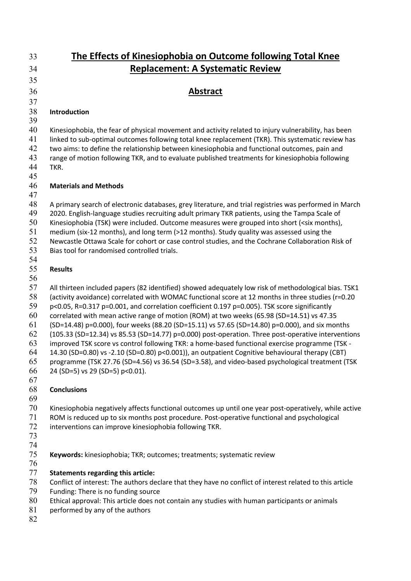# **The Effects of Kinesiophobia on Outcome following Total Knee Replacement: A Systematic Review**

### **Abstract**

#### **Introduction**

 Kinesiophobia, the fear of physical movement and activity related to injury vulnerability, has been 41 linked to sub-optimal outcomes following total knee replacement (TKR). This systematic review has two aims: to define the relationship between kinesiophobia and functional outcomes, pain and 43 range of motion following TKR, and to evaluate published treatments for kinesiophobia following

#### TKR.

#### **Materials and Methods**

A primary search of electronic databases, grey literature, and trial registries was performed in March

- 2020. English-language studies recruiting adult primary TKR patients, using the Tampa Scale of
- Kinesiophobia (TSK) were included. Outcome measures were grouped into short (<six months),
- medium (six-12 months), and long term (>12 months). Study quality was assessed using the
- Newcastle Ottawa Scale for cohort or case control studies, and the Cochrane Collaboration Risk of
- Bias tool for randomised controlled trials.
- 

#### **Results**

All thirteen included papers (82 identified) showed adequately low risk of methodological bias. TSK1

- (activity avoidance) correlated with WOMAC functional score at 12 months in three studies (r=0.20
- p<0.05, R=0.317 p=0.001, and correlation coefficient 0.197 p=0.005). TSK score significantly
- correlated with mean active range of motion (ROM) at two weeks (65.98 (SD=14.51) vs 47.35
- (SD=14.48) p=0.000), four weeks (88.20 (SD=15.11) vs 57.65 (SD=14.80) p=0.000), and six months
- (105.33 (SD=12.34) vs 85.53 (SD=14.77) p=0.000) post-operation. Three post-operative interventions improved TSK score vs control following TKR: a home-based functional exercise programme (TSK -
- 14.30 (SD=0.80) vs -2.10 (SD=0.80) p<0.001)), an outpatient Cognitive behavioural therapy (CBT)
- programme (TSK 27.76 (SD=4.56) vs 36.54 (SD=3.58), and video-based psychological treatment (TSK
- 66 24 (SD=5) vs 29 (SD=5) p<0.01).
- 

# **Conclusions**

- 
- Kinesiophobia negatively affects functional outcomes up until one year post-operatively, while active ROM is reduced up to six months post procedure. Post-operative functional and psychological
- interventions can improve kinesiophobia following TKR.
- 
- 
- **Keywords:** kinesiophobia; TKR; outcomes; treatments; systematic review
- **Statements regarding this article:**
- Conflict of interest: The authors declare that they have no conflict of interest related to this article
- Funding: There is no funding source
- Ethical approval: This article does not contain any studies with human participants or animals
- 81 performed by any of the authors
-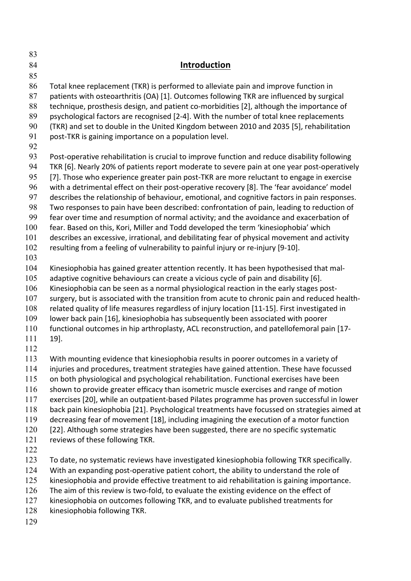| 83         |                                                                                                                                                                                           |
|------------|-------------------------------------------------------------------------------------------------------------------------------------------------------------------------------------------|
| 84         | Introduction                                                                                                                                                                              |
| 85         |                                                                                                                                                                                           |
| 86         | Total knee replacement (TKR) is performed to alleviate pain and improve function in                                                                                                       |
| 87         | patients with osteoarthritis (OA) [1]. Outcomes following TKR are influenced by surgical                                                                                                  |
| 88         | technique, prosthesis design, and patient co-morbidities [2], although the importance of                                                                                                  |
| 89         | psychological factors are recognised [2-4]. With the number of total knee replacements                                                                                                    |
| 90         | (TKR) and set to double in the United Kingdom between 2010 and 2035 [5], rehabilitation                                                                                                   |
| 91         | post-TKR is gaining importance on a population level.                                                                                                                                     |
| 92         |                                                                                                                                                                                           |
| 93         | Post-operative rehabilitation is crucial to improve function and reduce disability following                                                                                              |
| 94         | TKR [6]. Nearly 20% of patients report moderate to severe pain at one year post-operatively                                                                                               |
| 95         | [7]. Those who experience greater pain post-TKR are more reluctant to engage in exercise                                                                                                  |
| 96         | with a detrimental effect on their post-operative recovery [8]. The 'fear avoidance' model                                                                                                |
| 97         | describes the relationship of behaviour, emotional, and cognitive factors in pain responses.                                                                                              |
| 98         | Two responses to pain have been described: confrontation of pain, leading to reduction of                                                                                                 |
| 99<br>100  | fear over time and resumption of normal activity; and the avoidance and exacerbation of                                                                                                   |
| 101        | fear. Based on this, Kori, Miller and Todd developed the term 'kinesiophobia' which<br>describes an excessive, irrational, and debilitating fear of physical movement and activity        |
| 102        | resulting from a feeling of vulnerability to painful injury or re-injury [9-10].                                                                                                          |
| 103        |                                                                                                                                                                                           |
| 104        | Kinesiophobia has gained greater attention recently. It has been hypothesised that mal-                                                                                                   |
| 105        | adaptive cognitive behaviours can create a vicious cycle of pain and disability [6].                                                                                                      |
| 106        | Kinesiophobia can be seen as a normal physiological reaction in the early stages post-                                                                                                    |
| 107        | surgery, but is associated with the transition from acute to chronic pain and reduced health-                                                                                             |
| 108        | related quality of life measures regardless of injury location [11-15]. First investigated in                                                                                             |
| 109        | lower back pain [16], kinesiophobia has subsequently been associated with poorer                                                                                                          |
| 110        | functional outcomes in hip arthroplasty, ACL reconstruction, and patellofemoral pain [17-                                                                                                 |
| 111        | $19$ ].                                                                                                                                                                                   |
| 112        |                                                                                                                                                                                           |
| 113        | With mounting evidence that kinesiophobia results in poorer outcomes in a variety of                                                                                                      |
| 114        | injuries and procedures, treatment strategies have gained attention. These have focussed                                                                                                  |
| 115        | on both physiological and psychological rehabilitation. Functional exercises have been                                                                                                    |
| 116<br>117 | shown to provide greater efficacy than isometric muscle exercises and range of motion                                                                                                     |
| 118        | exercises [20], while an outpatient-based Pilates programme has proven successful in lower<br>back pain kinesiophobia [21]. Psychological treatments have focussed on strategies aimed at |
| 119        | decreasing fear of movement [18], including imagining the execution of a motor function                                                                                                   |
| 120        | [22]. Although some strategies have been suggested, there are no specific systematic                                                                                                      |
| 121        | reviews of these following TKR.                                                                                                                                                           |
| 122        |                                                                                                                                                                                           |
| 123        | To date, no systematic reviews have investigated kinesiophobia following TKR specifically.                                                                                                |
| 124        | With an expanding post-operative patient cohort, the ability to understand the role of                                                                                                    |
| 125        | kinesiophobia and provide effective treatment to aid rehabilitation is gaining importance.                                                                                                |
| 126        | The aim of this review is two-fold, to evaluate the existing evidence on the effect of                                                                                                    |
| 127        | kinesiophobia on outcomes following TKR, and to evaluate published treatments for                                                                                                         |
| 128        | kinesiophobia following TKR.                                                                                                                                                              |
| 129        |                                                                                                                                                                                           |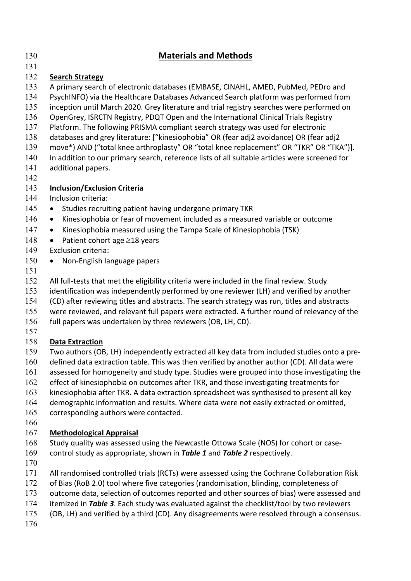| 130        | <b>Materials and Methods</b>                                                                                        |
|------------|---------------------------------------------------------------------------------------------------------------------|
| 131        |                                                                                                                     |
| 132        | <b>Search Strategy</b>                                                                                              |
| 133        | A primary search of electronic databases (EMBASE, CINAHL, AMED, PubMed, PEDro and                                   |
| 134        | PsychINFO) via the Healthcare Databases Advanced Search platform was performed from                                 |
| 135        | inception until March 2020. Grey literature and trial registry searches were performed on                           |
| 136        | OpenGrey, ISRCTN Registry, PDQT Open and the International Clinical Trials Registry                                 |
| 137        | Platform. The following PRISMA compliant search strategy was used for electronic                                    |
| 138<br>139 | databases and grey literature: ["kinesiophobia" OR (fear adj2 avoidance) OR (fear adj2                              |
| 140        | move*) AND ("total knee arthroplasty" OR "total knee replacement" OR "TKR" OR "TKA")].                              |
| 141        | In addition to our primary search, reference lists of all suitable articles were screened for<br>additional papers. |
| 142        |                                                                                                                     |
| 143        | <b>Inclusion/Exclusion Criteria</b>                                                                                 |
| 144        | Inclusion criteria:                                                                                                 |
| 145        | Studies recruiting patient having undergone primary TKR<br>$\bullet$                                                |
| 146        | Kinesiophobia or fear of movement included as a measured variable or outcome<br>$\bullet$                           |
| 147        | Kinesiophobia measured using the Tampa Scale of Kinesiophobia (TSK)<br>$\bullet$                                    |
| 148        | Patient cohort age ≥18 years                                                                                        |
| 149        | Exclusion criteria:                                                                                                 |
| 150        | Non-English language papers                                                                                         |
| 151        |                                                                                                                     |
| 152        | All full-tests that met the eligibility criteria were included in the final review. Study                           |
| 153        | identification was independently performed by one reviewer (LH) and verified by another                             |
| 154        | (CD) after reviewing titles and abstracts. The search strategy was run, titles and abstracts                        |
| 155        | were reviewed, and relevant full papers were extracted. A further round of relevancy of the                         |
| 156        | full papers was undertaken by three reviewers (OB, LH, CD).                                                         |
| 157        |                                                                                                                     |
| 158        | <b>Data Extraction</b>                                                                                              |
| 159        | Two authors (OB, LH) independently extracted all key data from included studies onto a pre-                         |
| 160        | defined data extraction table. This was then verified by another author (CD). All data were                         |
| 161        | assessed for homogeneity and study type. Studies were grouped into those investigating the                          |
| 162        | effect of kinesiophobia on outcomes after TKR, and those investigating treatments for                               |
| 163        | kinesiophobia after TKR. A data extraction spreadsheet was synthesised to present all key                           |
| 164        | demographic information and results. Where data were not easily extracted or omitted,                               |
| 165        | corresponding authors were contacted.                                                                               |
| 166        |                                                                                                                     |
| 167        | <b>Methodological Appraisal</b>                                                                                     |
| 168        | Study quality was assessed using the Newcastle Ottowa Scale (NOS) for cohort or case-                               |
| 169<br>170 | control study as appropriate, shown in Table 1 and Table 2 respectively.                                            |
| 171        | All randomised controlled trials (RCTs) were assessed using the Cochrane Collaboration Risk                         |
| 172        | of Bias (RoB 2.0) tool where five categories (randomisation, blinding, completeness of                              |
| 173        | outcome data, selection of outcomes reported and other sources of bias) were assessed and                           |

- 
- 174 itemized in *Table 3*. Each study was evaluated against the checklist/tool by two reviewers<br>175 (OB, LH) and verified by a third (CD). Any disagreements were resolved through a consensu (OB, LH) and verified by a third (CD). Any disagreements were resolved through a consensus.
-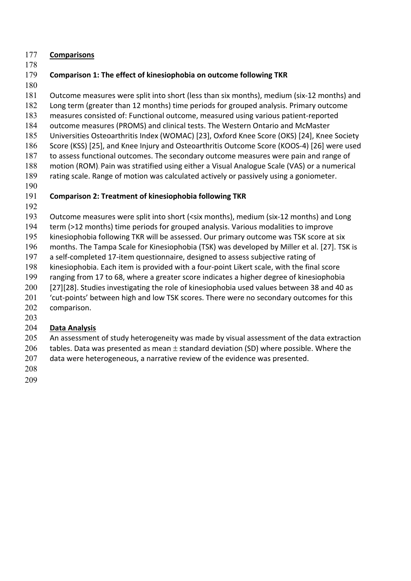#### **Comparisons**

# **Comparison 1: The effect of kinesiophobia on outcome following TKR**

Outcome measures were split into short (less than six months), medium (six-12 months) and

- Long term (greater than 12 months) time periods for grouped analysis. Primary outcome
- measures consisted of: Functional outcome, measured using various patient-reported
- outcome measures (PROMS) and clinical tests. The Western Ontario and McMaster
- Universities Osteoarthritis Index (WOMAC) [23], Oxford Knee Score (OKS) [24], Knee Society
- Score (KSS) [25], and Knee Injury and Osteoarthritis Outcome Score (KOOS-4) [26] were used
- to assess functional outcomes. The secondary outcome measures were pain and range of
- motion (ROM). Pain was stratified using either a Visual Analogue Scale (VAS) or a numerical rating scale. Range of motion was calculated actively or passively using a goniometer.
- 

### **Comparison 2: Treatment of kinesiophobia following TKR**

- 
- Outcome measures were split into short (<six months), medium (six-12 months) and Long
- term (>12 months) time periods for grouped analysis. Various modalities to improve
- kinesiophobia following TKR will be assessed. Our primary outcome was TSK score at six
- months. The Tampa Scale for Kinesiophobia (TSK) was developed by Miller et al. [27]. TSK is
- a self-completed 17-item questionnaire, designed to assess subjective rating of
- kinesiophobia. Each item is provided with a four-point Likert scale, with the final score
- ranging from 17 to 68, where a greater score indicates a higher degree of kinesiophobia
- [27][28]. Studies investigating the role of kinesiophobia used values between 38 and 40 as
- 201 'cut-points' between high and low TSK scores. There were no secondary outcomes for this comparison.
- 

# **Data Analysis**

- 205 An assessment of study heterogeneity was made by visual assessment of the data extraction
- 206 tables. Data was presented as mean  $\pm$  standard deviation (SD) where possible. Where the
- 207 data were heterogeneous, a narrative review of the evidence was presented.
-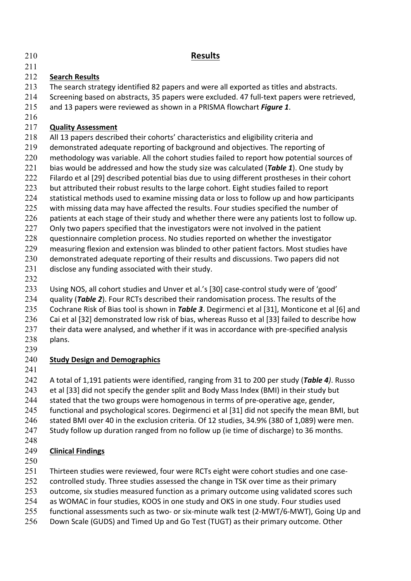# **Results**

### **Search Results**

The search strategy identified 82 papers and were all exported as titles and abstracts.

Screening based on abstracts, 35 papers were excluded. 47 full-text papers were retrieved,

- and 13 papers were reviewed as shown in a PRISMA flowchart *Figure 1*.
- 

# **Quality Assessment**

All 13 papers described their cohorts' characteristics and eligibility criteria and

demonstrated adequate reporting of background and objectives. The reporting of

220 methodology was variable. All the cohort studies failed to report how potential sources of

bias would be addressed and how the study size was calculated (*Table 1*). One study by

222 Filardo et al [29] described potential bias due to using different prostheses in their cohort

- 223 but attributed their robust results to the large cohort. Eight studies failed to report
- 224 statistical methods used to examine missing data or loss to follow up and how participants
- 225 with missing data may have affected the results. Four studies specified the number of
- 226 patients at each stage of their study and whether there were any patients lost to follow up.
- 227 Only two papers specified that the investigators were not involved in the patient
- 228 guestionnaire completion process. No studies reported on whether the investigator
- measuring flexion and extension was blinded to other patient factors. Most studies have
- 230 demonstrated adequate reporting of their results and discussions. Two papers did not disclose any funding associated with their study.
- 

Using NOS, all cohort studies and Unver et al.'s [30] case-control study were of 'good'

- quality (*Table 2*). Four RCTs described their randomisation process. The results of the
- Cochrane Risk of Bias tool is shown in *Table 3*. Degirmenci et al [31], Monticone et al [6] and
- Cai et al [32] demonstrated low risk of bias, whereas Russo et al [33] failed to describe how
- 237 their data were analysed, and whether if it was in accordance with pre-specified analysis
- plans.

# **Study Design and Demographics**

A total of 1,191 patients were identified, ranging from 31 to 200 per study (*Table 4)*. Russo

- 243 et al [33] did not specify the gender split and Body Mass Index (BMI) in their study but
- 244 stated that the two groups were homogenous in terms of pre-operative age, gender,
- functional and psychological scores. Degirmenci et al [31] did not specify the mean BMI, but
- stated BMI over 40 in the exclusion criteria. Of 12 studies, 34.9% (380 of 1,089) were men.
- Study follow up duration ranged from no follow up (ie time of discharge) to 36 months.
- 

# **Clinical Findings**

- 
- Thirteen studies were reviewed, four were RCTs eight were cohort studies and one case-
- 252 controlled study. Three studies assessed the change in TSK over time as their primary
- 253 outcome, six studies measured function as a primary outcome using validated scores such
- as WOMAC in four studies, KOOS in one study and OKS in one study. Four studies used
- functional assessments such as two- or six-minute walk test (2-MWT/6-MWT), Going Up and
- Down Scale (GUDS) and Timed Up and Go Test (TUGT) as their primary outcome. Other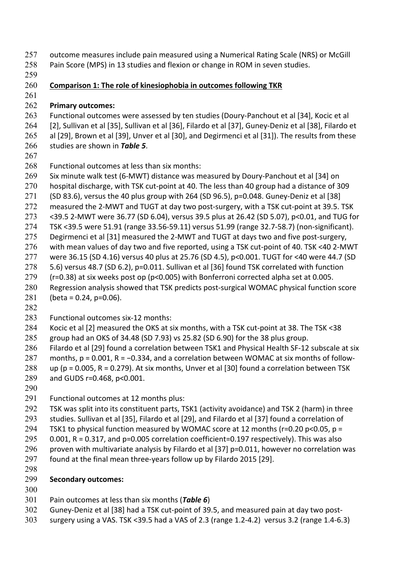- 257 outcome measures include pain measured using a Numerical Rating Scale (NRS) or McGill Pain Score (MPS) in 13 studies and flexion or change in ROM in seven studies.
- 
- 

### **Comparison 1: The role of kinesiophobia in outcomes following TKR**

#### **Primary outcomes:**

 Functional outcomes were assessed by ten studies (Doury-Panchout et al [34], Kocic et al [2], Sullivan et al [35], Sullivan et al [36], Filardo et al [37], Guney-Deniz et al [38], Filardo et al [29], Brown et al [39], Unver et al [30], and Degirmenci et al [31]). The results from these studies are shown in *Table 5*.

- 
- 268 Functional outcomes at less than six months:
- Six minute walk test (6-MWT) distance was measured by Doury-Panchout et al [34] on
- hospital discharge, with TSK cut-point at 40. The less than 40 group had a distance of 309
- (SD 83.6), versus the 40 plus group with 264 (SD 96.5), p=0.048. Guney-Deniz et al [38]
- measured the 2-MWT and TUGT at day two post-surgery, with a TSK cut-point at 39.5. TSK
- <39.5 2-MWT were 36.77 (SD 6.04), versus 39.5 plus at 26.42 (SD 5.07), p<0.01, and TUG for
- TSK <39.5 were 51.91 (range 33.56-59.11) versus 51.99 (range 32.7-58.7) (non-significant).
- Degirmenci et al [31] measured the 2-MWT and TUGT at days two and five post-surgery,
- with mean values of day two and five reported, using a TSK cut-point of 40. TSK <40 2-MWT
- were 36.15 (SD 4.16) versus 40 plus at 25.76 (SD 4.5), p<0.001. TUGT for <40 were 44.7 (SD 5.6) versus 48.7 (SD 6.2), p=0.011. Sullivan et al [36] found TSK correlated with function
- (r=0.38) at six weeks post op (p<0.005) with Bonferroni corrected alpha set at 0.005.
- Regression analysis showed that TSK predicts post-surgical WOMAC physical function score
- 281 (beta = 0.24, p=0.06).
- 
- Functional outcomes six-12 months:
- Kocic et al [2] measured the OKS at six months, with a TSK cut-point at 38. The TSK <38
- group had an OKS of 34.48 (SD 7.93) vs 25.82 (SD 6.90) for the 38 plus group.
- Filardo et al [29] found a correlation between TSK1 and Physical Health SF-12 subscale at six months, p = 0.001, R = −0.334, and a correlation between WOMAC at six months of follow-
- up (p = 0.005, R = 0.279). At six months, Unver et al [30] found a correlation between TSK and GUDS r=0.468, p<0.001.
- 
- Functional outcomes at 12 months plus:
- TSK was split into its constituent parts, TSK1 (activity avoidance) and TSK 2 (harm) in three
- studies. Sullivan et al [35], Filardo et al [29], and Filardo et al [37] found a correlation of
- TSK1 to physical function measured by WOMAC score at 12 months (r=0.20 p<0.05, p =
- 0.001, R = 0.317, and p=0.005 correlation coefficient=0.197 respectively). This was also proven with multivariate analysis by Filardo et al [37] p=0.011, however no correlation was
- found at the final mean three-years follow up by Filardo 2015 [29].
- 

# **Secondary outcomes:**

- 
- Pain outcomes at less than six months (*Table 6*)
- Guney-Deniz et al [38] had a TSK cut-point of 39.5, and measured pain at day two post-
- surgery using a VAS. TSK <39.5 had a VAS of 2.3 (range 1.2-4.2) versus 3.2 (range 1.4-6.3)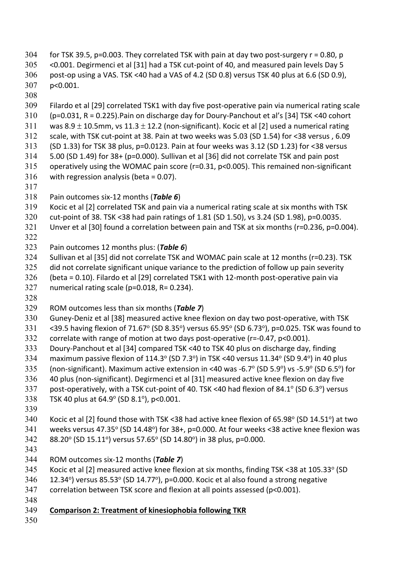for TSK 39.5, p=0.003. They correlated TSK with pain at day two post-surgery r = 0.80, p <0.001. Degirmenci et al [31] had a TSK cut-point of 40, and measured pain levels Day 5 post-op using a VAS. TSK <40 had a VAS of 4.2 (SD 0.8) versus TSK 40 plus at 6.6 (SD 0.9), p<0.001.

 Filardo et al [29] correlated TSK1 with day five post-operative pain via numerical rating scale (p=0.031, R = 0.225).Pain on discharge day for Doury-Panchout et al's [34] TSK <40 cohort 311 was  $8.9 \pm 10.5$ mm, vs  $11.3 \pm 12.2$  (non-significant). Kocic et al [2] used a numerical rating scale, with TSK cut-point at 38. Pain at two weeks was 5.03 (SD 1.54) for <38 versus , 6.09 (SD 1.33) for TSK 38 plus, p=0.0123. Pain at four weeks was 3.12 (SD 1.23) for <38 versus 5.00 (SD 1.49) for 38+ (p=0.000). Sullivan et al [36] did not correlate TSK and pain post operatively using the WOMAC pain score (r=0.31, p<0.005). This remained non-significant with regression analysis (beta = 0.07).

- 
- Pain outcomes six-12 months (*Table 6*)
- Kocic et al [2] correlated TSK and pain via a numerical rating scale at six months with TSK
- cut-point of 38. TSK <38 had pain ratings of 1.81 (SD 1.50), vs 3.24 (SD 1.98), p=0.0035.
- Unver et al [30] found a correlation between pain and TSK at six months (r=0.236, p=0.004).
- 
- Pain outcomes 12 months plus: (*Table 6*)
- Sullivan et al [35] did not correlate TSK and WOMAC pain scale at 12 months (r=0.23). TSK
- 325 did not correlate significant unique variance to the prediction of follow up pain severity
- (beta = 0.10). Filardo et al [29] correlated TSK1 with 12-month post-operative pain via numerical rating scale (p=0.018, R= 0.234).
- 
- ROM outcomes less than six months (*Table 7*)
- Guney-Deniz et al [38] measured active knee flexion on day two post-operative, with TSK
- 331 <39.5 having flexion of 71.67 $^{\circ}$  (SD 8.35 $^{\circ}$ ) versus 65.95 $^{\circ}$  (SD 6.73 $^{\circ}$ ), p=0.025. TSK was found to correlate with range of motion at two days post-operative (r=-0.47, p<0.001).
- Doury-Panchout et al [34] compared TSK <40 to TSK 40 plus on discharge day, finding
- 334 maximum passive flexion of 114.3° (SD 7.3°) in TSK <40 versus 11.34° (SD 9.4°) in 40 plus
- 335 (non-significant). Maximum active extension in <40 was -6.7 $^{\circ}$  (SD 5.9 $^{\circ}$ ) vs -5.9 $^{\circ}$  (SD 6.5 $^{\circ}$ ) for
- 40 plus (non-significant). Degirmenci et al [31] measured active knee flexion on day five
- 337 post-operatively, with a TSK cut-point of 40. TSK <40 had flexion of 84.1 $^{\circ}$  (SD 6.3 $^{\circ}$ ) versus
- 338 TSK 40 plus at  $64.9^{\circ}$  (SD  $8.1^{\circ}$ ), p<0.001.
- 
- 340 Kocic et al [2] found those with TSK <38 had active knee flexion of 65.98° (SD 14.51°) at two 341 weeks versus 47.35° (SD 14.48°) for 38+, p=0.000. At four weeks <38 active knee flexion was 342 88.20 $\textdegree$  (SD 15.11 $\textdegree$ ) versus 57.65 $\textdegree$  (SD 14.80 $\textdegree$ ) in 38 plus, p=0.000.
- 
- ROM outcomes six-12 months (*Table 7*)
- Kocic et al [2] measured active knee flexion at six months, finding TSK <38 at 105.33° (SD
- $12.34^{\circ}$ ) versus 85.53 $^{\circ}$  (SD 14.77 $^{\circ}$ ), p=0.000. Kocic et al also found a strong negative
- correlation between TSK score and flexion at all points assessed (p<0.001).
- 
- **Comparison 2: Treatment of kinesiophobia following TKR**
-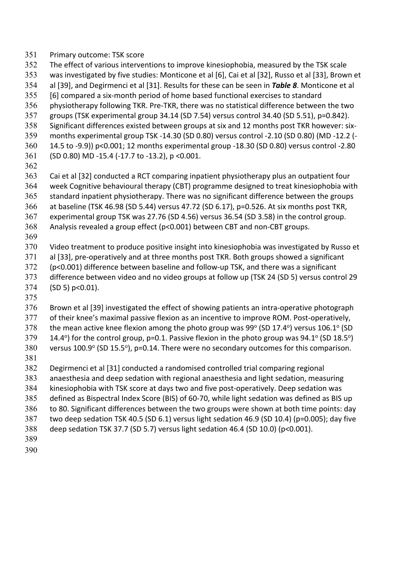#### Primary outcome: TSK score

- The effect of various interventions to improve kinesiophobia, measured by the TSK scale
- was investigated by five studies: Monticone et al [6], Cai et al [32], Russo et al [33], Brown et
- al [39], and Degirmenci et al [31]. Results for these can be seen in *Table 8*. Monticone et al
- [6] compared a six-month period of home based functional exercises to standard
- physiotherapy following TKR. Pre-TKR, there was no statistical difference between the two
- groups (TSK experimental group 34.14 (SD 7.54) versus control 34.40 (SD 5.51), p=0.842).
- Significant differences existed between groups at six and 12 months post TKR however: six-
- months experimental group TSK -14.30 (SD 0.80) versus control -2.10 (SD 0.80) (MD -12.2 (-
- 14.5 to -9.9)) p<0.001; 12 months experimental group -18.30 (SD 0.80) versus control -2.80
- (SD 0.80) MD -15.4 (-17.7 to -13.2), p <0.001.
- 

 Cai et al [32] conducted a RCT comparing inpatient physiotherapy plus an outpatient four week Cognitive behavioural therapy (CBT) programme designed to treat kinesiophobia with standard inpatient physiotherapy. There was no significant difference between the groups

- 
- at baseline (TSK 46.98 (SD 5.44) versus 47.72 (SD 6.17), p=0.526. At six months post TKR, experimental group TSK was 27.76 (SD 4.56) versus 36.54 (SD 3.58) in the control group.
- Analysis revealed a group effect (p<0.001) between CBT and non-CBT groups.
- 

Video treatment to produce positive insight into kinesiophobia was investigated by Russo et

- al [33], pre-operatively and at three months post TKR. Both groups showed a significant
- (p<0.001) difference between baseline and follow-up TSK, and there was a significant difference between video and no video groups at follow up (TSK 24 (SD 5) versus control 29
- 374 (SD 5) p<0.01).
- 

 Brown et al [39] investigated the effect of showing patients an intra-operative photograph 377 of their knee's maximal passive flexion as an incentive to improve ROM. Post-operatively, 378 the mean active knee flexion among the photo group was 99 $^{\circ}$  (SD 17.4 $^{\circ}$ ) versus 106.1 $^{\circ}$  (SD  $14.4^{\circ}$ ) for the control group, p=0.1. Passive flexion in the photo group was 94.1 $^{\circ}$  (SD 18.5 $^{\circ}$ ) versus 100.9 $\textdegree$  (SD 15.5 $\textdegree$ ), p=0.14. There were no secondary outcomes for this comparison.

Degirmenci et al [31] conducted a randomised controlled trial comparing regional

- anaesthesia and deep sedation with regional anaesthesia and light sedation, measuring
- kinesiophobia with TSK score at days two and five post-operatively. Deep sedation was
- defined as Bispectral Index Score (BIS) of 60-70, while light sedation was defined as BIS up
- to 80. Significant differences between the two groups were shown at both time points: day
- two deep sedation TSK 40.5 (SD 6.1) versus light sedation 46.9 (SD 10.4) (p=0.005); day five
- deep sedation TSK 37.7 (SD 5.7) versus light sedation 46.4 (SD 10.0) (p<0.001).
-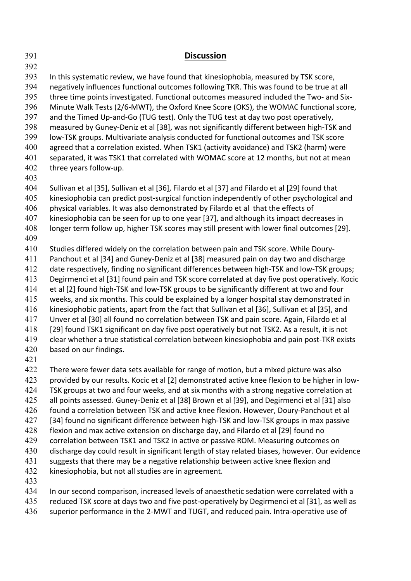| 391        | <b>Discussion</b>                                                                              |
|------------|------------------------------------------------------------------------------------------------|
| 392        |                                                                                                |
| 393        | In this systematic review, we have found that kinesiophobia, measured by TSK score,            |
| 394        | negatively influences functional outcomes following TKR. This was found to be true at all      |
| 395        | three time points investigated. Functional outcomes measured included the Two- and Six-        |
| 396        | Minute Walk Tests (2/6-MWT), the Oxford Knee Score (OKS), the WOMAC functional score,          |
| 397        | and the Timed Up-and-Go (TUG test). Only the TUG test at day two post operatively,             |
| 398        | measured by Guney-Deniz et al [38], was not significantly different between high-TSK and       |
| 399        | low-TSK groups. Multivariate analysis conducted for functional outcomes and TSK score          |
| 400        | agreed that a correlation existed. When TSK1 (activity avoidance) and TSK2 (harm) were         |
| 401        | separated, it was TSK1 that correlated with WOMAC score at 12 months, but not at mean          |
| 402        | three years follow-up.                                                                         |
| 403        |                                                                                                |
| 404        | Sullivan et al [35], Sullivan et al [36], Filardo et al [37] and Filardo et al [29] found that |
| 405        | kinesiophobia can predict post-surgical function independently of other psychological and      |
| 406        | physical variables. It was also demonstrated by Filardo et al that the effects of              |
| 407        | kinesiophobia can be seen for up to one year [37], and although its impact decreases in        |
| 408        | longer term follow up, higher TSK scores may still present with lower final outcomes [29].     |
| 409        |                                                                                                |
| 410        | Studies differed widely on the correlation between pain and TSK score. While Doury-            |
| 411        | Panchout et al [34] and Guney-Deniz et al [38] measured pain on day two and discharge          |
| 412        | date respectively, finding no significant differences between high-TSK and low-TSK groups;     |
| 413        | Degirmenci et al [31] found pain and TSK score correlated at day five post operatively. Kocic  |
| 414        | et al [2] found high-TSK and low-TSK groups to be significantly different at two and four      |
| 415        | weeks, and six months. This could be explained by a longer hospital stay demonstrated in       |
| 416        | kinesiophobic patients, apart from the fact that Sullivan et al [36], Sullivan et al [35], and |
| 417        | Unver et al [30] all found no correlation between TSK and pain score. Again, Filardo et al     |
| 418        | [29] found TSK1 significant on day five post operatively but not TSK2. As a result, it is not  |
| 419        | clear whether a true statistical correlation between kinesiophobia and pain post-TKR exists    |
| 420        | based on our findings.                                                                         |
| 421        |                                                                                                |
| 422        | There were fewer data sets available for range of motion, but a mixed picture was also         |
| 423        | provided by our results. Kocic et al [2] demonstrated active knee flexion to be higher in low- |
| 424        | TSK groups at two and four weeks, and at six months with a strong negative correlation at      |
| 425        | all points assessed. Guney-Deniz et al [38] Brown et al [39], and Degirmenci et al [31] also   |
| 426        | found a correlation between TSK and active knee flexion. However, Doury-Panchout et al         |
| 427        | [34] found no significant difference between high-TSK and low-TSK groups in max passive        |
| 428        | flexion and max active extension on discharge day, and Filardo et al [29] found no             |
| 429        | correlation between TSK1 and TSK2 in active or passive ROM. Measuring outcomes on              |
| 430        | discharge day could result in significant length of stay related biases, however. Our evidence |
| 431        | suggests that there may be a negative relationship between active knee flexion and             |
| 432        | kinesiophobia, but not all studies are in agreement.                                           |
| 433        |                                                                                                |
| 434<br>435 | In our second comparison, increased levels of anaesthetic sedation were correlated with a      |
|            | reduced TSK score at days two and five post-operatively by Degirmenci et al [31], as well as   |
| 436        | superior performance in the 2-MWT and TUGT, and reduced pain. Intra-operative use of           |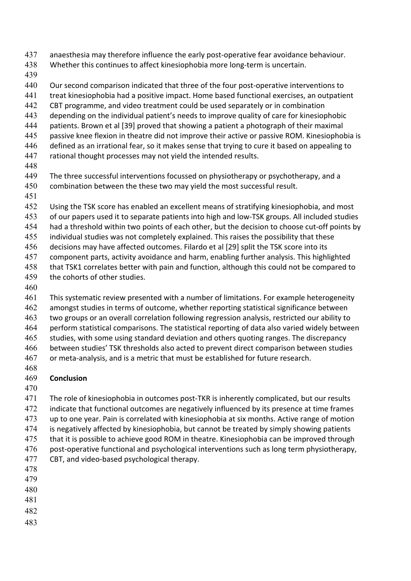- anaesthesia may therefore influence the early post-operative fear avoidance behaviour.
- Whether this continues to affect kinesiophobia more long-term is uncertain.
- 
- 440 Our second comparison indicated that three of the four post-operative interventions to treat kinesiophobia had a positive impact. Home based functional exercises, an outpatient CBT programme, and video treatment could be used separately or in combination depending on the individual patient's needs to improve quality of care for kinesiophobic patients. Brown et al [39] proved that showing a patient a photograph of their maximal 445 passive knee flexion in theatre did not improve their active or passive ROM. Kinesiophobia is 446 defined as an irrational fear, so it makes sense that trying to cure it based on appealing to
- rational thought processes may not yield the intended results.
- 
- 449 The three successful interventions focussed on physiotherapy or psychotherapy, and a combination between the these two may yield the most successful result.
- 
- 452 Using the TSK score has enabled an excellent means of stratifying kinesiophobia, and most
- of our papers used it to separate patients into high and low-TSK groups. All included studies
- had a threshold within two points of each other, but the decision to choose cut-off points by
- individual studies was not completely explained. This raises the possibility that these
- decisions may have affected outcomes. Filardo et al [29] split the TSK score into its
- component parts, activity avoidance and harm, enabling further analysis. This highlighted
- 458 that TSK1 correlates better with pain and function, although this could not be compared to the cohorts of other studies.
- 

 This systematic review presented with a number of limitations. For example heterogeneity amongst studies in terms of outcome, whether reporting statistical significance between two groups or an overall correlation following regression analysis, restricted our ability to perform statistical comparisons. The statistical reporting of data also varied widely between studies, with some using standard deviation and others quoting ranges. The discrepancy between studies' TSK thresholds also acted to prevent direct comparison between studies or meta-analysis, and is a metric that must be established for future research. 

- **Conclusion**
- 

 The role of kinesiophobia in outcomes post-TKR is inherently complicated, but our results 472 indicate that functional outcomes are negatively influenced by its presence at time frames up to one year. Pain is correlated with kinesiophobia at six months. Active range of motion 474 is negatively affected by kinesiophobia, but cannot be treated by simply showing patients 475 that it is possible to achieve good ROM in theatre. Kinesiophobia can be improved through 476 post-operative functional and psychological interventions such as long term physiotherapy, CBT, and video-based psychological therapy. 

- 
- 
- 
- 
-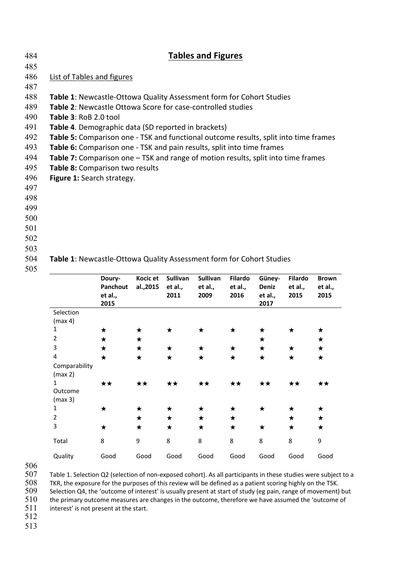| 484 | <b>Tables and Figures</b>                                                            |
|-----|--------------------------------------------------------------------------------------|
| 485 |                                                                                      |
| 486 | List of Tables and figures                                                           |
| 487 |                                                                                      |
| 488 | Table 1: Newcastle-Ottowa Quality Assessment form for Cohort Studies                 |
| 489 | Table 2: Newcastle Ottowa Score for case-controlled studies                          |
| 490 | Table 3: RoB 2.0 tool                                                                |
| 491 | Table 4. Demographic data (SD reported in brackets)                                  |
| 492 | Table 5: Comparison one - TSK and functional outcome results, split into time frames |
| 493 | Table 6: Comparison one - TSK and pain results, split into time frames               |
| 494 | Table 7: Comparison one - TSK and range of motion results, split into time frames    |
| 495 | Table 8: Comparison two results                                                      |
| 496 | Figure 1: Search strategy.                                                           |
| 497 |                                                                                      |
| 498 |                                                                                      |
| 499 |                                                                                      |
| 500 |                                                                                      |
| 501 |                                                                                      |
| 502 |                                                                                      |
| 503 |                                                                                      |
| 504 | Table 1: Newcastle-Ottowa Quality Assessment form for Cohort Studies                 |
| 505 |                                                                                      |

|                          | Doury-<br>Panchout<br>et al.,<br>2015 | Kocic et<br>al.,2015 | Sullivan<br>et al.,<br>2011 | Sullivan<br>et al.,<br>2009 | <b>Filardo</b><br>et al.,<br>2016 | Güney-<br>Deniz<br>et al.,<br>2017 | <b>Filardo</b><br>et al.,<br>2015 | <b>Brown</b><br>et al.,<br>2015 |
|--------------------------|---------------------------------------|----------------------|-----------------------------|-----------------------------|-----------------------------------|------------------------------------|-----------------------------------|---------------------------------|
| Selection                |                                       |                      |                             |                             |                                   |                                    |                                   |                                 |
| (max 4)                  |                                       |                      |                             |                             |                                   |                                    |                                   |                                 |
| 1                        | ★                                     | $\star$              | $\star$                     | $\star$                     | ★                                 | ★                                  | ★                                 | ★                               |
| $\overline{2}$           | $\star$                               | $\star$              |                             |                             |                                   | ★                                  |                                   | $\star$                         |
| 3                        | $\star$                               | $\star$              | $\star$                     | $\star$                     | $\star$                           | ★                                  | ★                                 | $\star$                         |
| 4                        | $\star$                               | $\star$              | $\bigstar$                  | $\star$                     | $\star$                           | ★                                  | ★                                 | $\bigstar$                      |
| Comparability<br>(max 2) |                                       |                      |                             |                             |                                   |                                    |                                   |                                 |
| 1<br>Outcome<br>(max 3)  | ★★                                    | ★★                   | ★★                          | ★★                          | ★★                                | ★★                                 | ★★                                | ★★                              |
| 1                        | $\star$                               | $\star$              | ★                           | $\star$                     | ★                                 | $\star$                            | ★                                 | ★                               |
| $\overline{2}$           |                                       | $\star$              | $\star$                     | $\star$                     | $\star$                           |                                    | $\star$                           | $\star$                         |
| 3                        | ★                                     | $\star$              | $\star$                     | $\star$                     | $\star$                           | ★                                  | ★                                 | ★                               |
| Total                    | 8                                     | 9                    | 8                           | 8                           | 8                                 | 8                                  | 8                                 | 9                               |
| Quality                  | Good                                  | Good                 | Good                        | Good                        | Good                              | Good                               | Good                              | Good                            |

<sup>506&</sup>lt;br>507

507 Table 1. Selection Q2 (selection of non-exposed cohort). As all participants in these studies were subject to a<br>508 TKR, the exposure for the purposes of this review will be defined as a patient scoring highly on the T TKR, the exposure for the purposes of this review will be defined as a patient scoring highly on the TSK.<br>509 Selection Q4, the 'outcome of interest' is usually present at start of study (eg pain, range of movement)<br>510 th Selection Q4, the 'outcome of interest' is usually present at start of study (eg pain, range of movement) but

the primary outcome measures are changes in the outcome, therefore we have assumed the 'outcome of

511 interest' is not present at the start.

512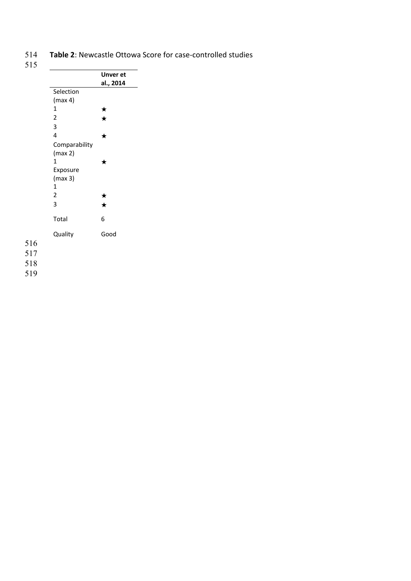| 514<br><b>Table 2: Newcastle Ottowa Score for case-controlled studies</b> |
|---------------------------------------------------------------------------|
|---------------------------------------------------------------------------|

515

| ★<br>$\star$<br>★<br>★<br>★<br>$\bigstar$<br>6<br>Good              |                | <b>Unver</b> et |
|---------------------------------------------------------------------|----------------|-----------------|
| (max 4)<br>1<br>(max 2)<br>1<br>Exposure<br>(max 3)<br>3<br>Quality |                | al., 2014       |
|                                                                     | Selection      |                 |
|                                                                     |                |                 |
|                                                                     |                |                 |
|                                                                     | $\overline{2}$ |                 |
|                                                                     | 3              |                 |
|                                                                     | 4              |                 |
|                                                                     | Comparability  |                 |
|                                                                     |                |                 |
|                                                                     |                |                 |
|                                                                     |                |                 |
|                                                                     |                |                 |
|                                                                     | $\mathbf{1}$   |                 |
|                                                                     | 2              |                 |
|                                                                     |                |                 |
|                                                                     | Total          |                 |
|                                                                     |                |                 |
|                                                                     |                |                 |
|                                                                     |                |                 |
|                                                                     |                |                 |

518 519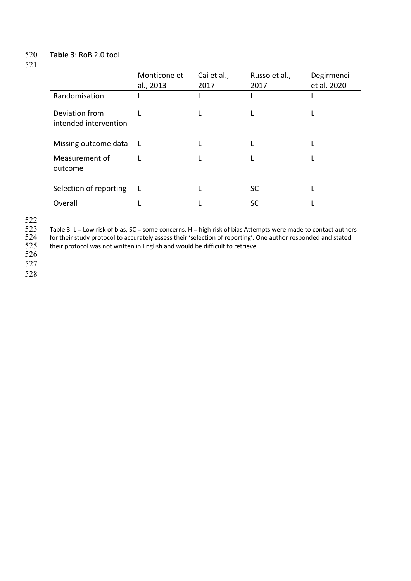#### 520 **Table 3**: RoB 2.0 tool

#### 521

|                                         | Monticone et<br>al., 2013 | Cai et al.,<br>2017 | Russo et al.,<br>2017 | Degirmenci<br>et al. 2020 |
|-----------------------------------------|---------------------------|---------------------|-----------------------|---------------------------|
| Randomisation                           |                           |                     |                       |                           |
| Deviation from<br>intended intervention |                           |                     |                       |                           |
| Missing outcome data                    |                           |                     |                       |                           |
| Measurement of<br>outcome               |                           |                     |                       |                           |
| Selection of reporting                  |                           |                     | <b>SC</b>             |                           |
| Overall                                 |                           |                     | SC                    |                           |

522<br>523

523 Table 3. L = Low risk of bias, SC = some concerns, H = high risk of bias Attempts were made to contact authors  $524$  for their study protocol to accurately assess their 'selection of reporting'. One author responded a 524 for their study protocol to accurately assess their 'selection of reporting'. One author responded and stated<br>525 their protocol was not written in English and would be difficult to retrieve.

their protocol was not written in English and would be difficult to retrieve.

526

527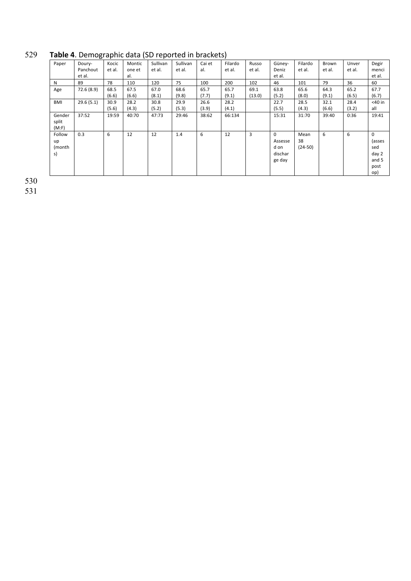| Paper                        | Doury-     | Kocic  | Montic | Sullivan | Sullivan | Cai et | Filardo | Russo  | Güney-                                           | Filardo                 | Brown  | Unver  | Degir                                                      |
|------------------------------|------------|--------|--------|----------|----------|--------|---------|--------|--------------------------------------------------|-------------------------|--------|--------|------------------------------------------------------------|
|                              | Panchout   | et al. | one et | et al.   | et al.   | al.    | et al.  | et al. | Deniz                                            | et al.                  | et al. | et al. | menci                                                      |
|                              | et al.     |        | al.    |          |          |        |         |        | et al.                                           |                         |        |        | et al.                                                     |
| N                            | 89         | 78     | 110    | 120      | 75       | 100    | 200     | 102    | 46                                               | 101                     | 79     | 36     | 60                                                         |
| Age                          | 72.6 (8.9) | 68.5   | 67.5   | 67.0     | 68.6     | 65.7   | 65.7    | 69.1   | 63.8                                             | 65.6                    | 64.3   | 65.2   | 67.7                                                       |
|                              |            | (6.6)  | (6.6)  | (8.1)    | (9.8)    | (7.7)  | (9.1)   | (13.0) | (5.2)                                            | (8.0)                   | (9.1)  | (6.5)  | (6.7)                                                      |
| <b>BMI</b>                   | 29.6(5.1)  | 30.9   | 28.2   | 30.8     | 29.9     | 26.6   | 28.2    |        | 22.7                                             | 28.5                    | 32.1   | 28.4   | <40 in                                                     |
|                              |            | (5.6)  | (4.3)  | (5.2)    | (5.3)    | (3.9)  | (4.1)   |        | (5.5)                                            | (4.3)                   | (6.6)  | (3.2)  | all                                                        |
| Gender<br>split<br>(M:F)     | 37:52      | 19:59  | 40:70  | 47:73    | 29:46    | 38:62  | 66:134  |        | 15:31                                            | 31:70                   | 39:40  | 0:36   | 19:41                                                      |
| Follow<br>up<br>(month<br>s) | 0.3        | 6      | 12     | 12       | 1.4      | 6      | 12      | 3      | $\Omega$<br>Assesse<br>d on<br>dischar<br>ge day | Mean<br>38<br>$(24-50)$ | 6      | 6      | $\Omega$<br>(asses<br>sed<br>day 2<br>and 5<br>post<br>op) |

529 **Table 4**. Demographic data (SD reported in brackets)

530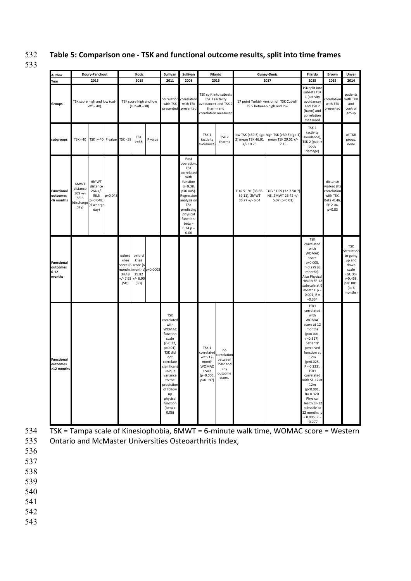#### 532 **Table 5: Comparison one - TSK and functional outcome results, split into time frames**

533

| <b>Author</b>                                       | Doury-Panchout                                                                                                                                        | Kocic                                                                                                                                      | Sullivan                                                                                                                                                                                                                                                     | Sullivan                                                                                                                                                                                                         | Filardo                                                                                                                                                                         | <b>Guney-Deniz</b>                                                                                                     | Filardo                                                                                                                                                                                                                                                                                                                                  | <b>Brown</b>                                                                                 | Unver                                                                                                                   |
|-----------------------------------------------------|-------------------------------------------------------------------------------------------------------------------------------------------------------|--------------------------------------------------------------------------------------------------------------------------------------------|--------------------------------------------------------------------------------------------------------------------------------------------------------------------------------------------------------------------------------------------------------------|------------------------------------------------------------------------------------------------------------------------------------------------------------------------------------------------------------------|---------------------------------------------------------------------------------------------------------------------------------------------------------------------------------|------------------------------------------------------------------------------------------------------------------------|------------------------------------------------------------------------------------------------------------------------------------------------------------------------------------------------------------------------------------------------------------------------------------------------------------------------------------------|----------------------------------------------------------------------------------------------|-------------------------------------------------------------------------------------------------------------------------|
| Year                                                | 2015                                                                                                                                                  | 2015                                                                                                                                       | 2011                                                                                                                                                                                                                                                         | 2008                                                                                                                                                                                                             | 2016                                                                                                                                                                            | 2017                                                                                                                   | 2015                                                                                                                                                                                                                                                                                                                                     | 2015                                                                                         | 2014                                                                                                                    |
| Groups                                              | TSK score high and low (cut-<br>$off = 40$                                                                                                            | TSK score high and low<br>$(cut-off = 38)$                                                                                                 | with TSK<br>presented                                                                                                                                                                                                                                        | correlation correlatior<br>with TSK<br>presented                                                                                                                                                                 | TSK split into subsets<br>TSK 1 (activity<br>avoidance) and TSK 2<br>(harm) and<br>correlation measured                                                                         | 17 point Turkish version of TSK Cut-off<br>39.5 between high and low                                                   | TSK split into<br>subsets TSK<br>1 (activity<br>avoidance)<br>and TSK 2<br>(harm) and<br>correlation<br>measured                                                                                                                                                                                                                         | orrelation<br>with TSK<br>presented                                                          | patients<br>with TKR<br>and<br>control<br>group                                                                         |
| subgroups                                           | TSK <40   TSK >=40   P value   TSK <38                                                                                                                | <b>TSK</b><br>P value<br>$>=38$                                                                                                            |                                                                                                                                                                                                                                                              |                                                                                                                                                                                                                  | TSK <sub>1</sub><br>TSK <sub>2</sub><br>(activity<br>(harm)<br>voidance)                                                                                                        | low TSK (<39.5) (gp high TSK (>39.5) (gp 1)<br>2) mean TSK 46.01<br>mean TSK 29.01 +/-<br>$+/- 10.25$<br>7.13          | TSK <sub>1</sub><br>(activity<br>avoidance),<br>TSK 2 (pain =<br>body<br>damage)                                                                                                                                                                                                                                                         |                                                                                              | of TKR<br>group,<br>none                                                                                                |
| <b>Functional</b><br>outcomes<br><6 months          | 6MWT<br>6MWT<br>distance<br>distance<br>$264 +/-$<br>$309 +/-$<br>96.5<br>p=0.048<br>83.6<br>$(p=0.048)$ .<br>discharge<br>(discharge<br>day)<br>day) |                                                                                                                                            |                                                                                                                                                                                                                                                              | Post<br>operation,<br><b>TSK</b><br>correlated<br>with<br>function<br>$(r=0.38,$<br>p<0.005)<br>Regression<br>analysis on<br><b>TSK</b><br>predicting<br>physical<br>function:<br>$beta =$<br>$0.24 p =$<br>0.06 |                                                                                                                                                                                 | TUG 51.91 (33.56-<br>TUG 51.99 (32.7-58.7)<br>59.11), 2MWT<br>NS, 2MWT 26.42 +/-<br>$36.77 + (-6.04)$<br>5.07 (p<0.01) |                                                                                                                                                                                                                                                                                                                                          | distance<br>walked (ft)<br>correlation<br>with TSK.<br>Beta -0.46,<br>SE 2.04,<br>$p = 0.83$ |                                                                                                                         |
| <b>Functional</b><br>outcomes<br>$6 - 12$<br>months |                                                                                                                                                       | oxford<br>oxford<br>knee<br>knee<br>score (6 score (6<br>months) months) p=0.0003<br>25.82<br>34.48<br>$+/- 7.93 +/- 6.90$<br>(SD)<br>(SD) |                                                                                                                                                                                                                                                              |                                                                                                                                                                                                                  |                                                                                                                                                                                 |                                                                                                                        | <b>TSK</b><br>correlated<br>with<br><b>WOMAC</b><br>score<br>p=0.005,<br>r=0.279 (6<br>months).<br>Also Physical<br>Health SF-12<br>subscale at 6<br>months $p =$<br>$0.001, R =$<br>$-0.334$                                                                                                                                            |                                                                                              | <b>TSK</b><br>correlation<br>to going<br>up and<br>down<br>scale<br>(GUDS)<br>r=0.468,<br>p<0.001.<br>(at 6)<br>months) |
| <b>Functional</b><br>outcomes<br>>12 months         |                                                                                                                                                       |                                                                                                                                            | <b>TSK</b><br>correlated<br>with<br><b>WOMAC</b><br>function<br>scale<br>$(r=0.22,$<br>p<0.01).<br>TSK did<br>not<br>correlate<br>significant<br>unique<br>variance<br>to the<br>prediction<br>of follow<br>up<br>physical<br>function<br>$(beta =$<br>0.06) |                                                                                                                                                                                                                  | TSK <sub>1</sub><br>no<br>correlated<br>correlation<br>with 12-<br>between<br>month<br>TSK2 and<br><b>WOMAC</b><br>any<br>score<br>outcome<br>$(p=0.005)$<br>score.<br>p=0.197) |                                                                                                                        | TSK1<br>correlated<br>with<br>WOMAC<br>score at 12<br>months<br>$(p=0.001,$<br>r=0.317).<br>patients'<br>perceived<br>function at<br>12m<br>(p=0.025,<br>$R = -0.223$ ).<br>TSK1<br>correlated<br>with SF-12 at<br>12m<br>(p<0.001,<br>R=-0.320.<br>Physical<br>Health SF-12<br>subscale at<br>12 months p<br>$= 0.005, R =$<br>$-0.277$ |                                                                                              |                                                                                                                         |

534 TSK = Tampa scale of Kinesiophobia, 6MWT = 6-minute walk time, WOMAC score = Western 535 Ontario and McMaster Universities Osteoarthritis Index,

536

537

538

539

540

541

542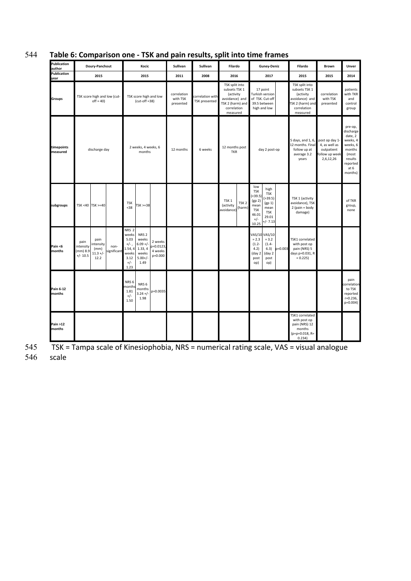| Publication<br>author      | Doury-Panchout                                                                                                        | Kocic                                                                                                                                                                                                                      | Sullivan                             | Sullivan                                 | Filardo                                                                                                       | <b>Guney-Deniz</b>                                                                                                                                                     | Filardo                                                                                                      | Brown                                                                        | Unver                                                                                                                |
|----------------------------|-----------------------------------------------------------------------------------------------------------------------|----------------------------------------------------------------------------------------------------------------------------------------------------------------------------------------------------------------------------|--------------------------------------|------------------------------------------|---------------------------------------------------------------------------------------------------------------|------------------------------------------------------------------------------------------------------------------------------------------------------------------------|--------------------------------------------------------------------------------------------------------------|------------------------------------------------------------------------------|----------------------------------------------------------------------------------------------------------------------|
| <b>Publication</b><br>year | 2015                                                                                                                  | 2015                                                                                                                                                                                                                       | 2011                                 | 2008                                     | 2016                                                                                                          | 2017                                                                                                                                                                   | 2015                                                                                                         | 2015                                                                         | 2014                                                                                                                 |
| <b>Groups</b>              | TSK score high and low (cut-<br>$off = 40$                                                                            | TSK score high and low<br>$(cut-off = 38)$                                                                                                                                                                                 | correlation<br>with TSK<br>presented | correlation with<br><b>TSK</b> presented | TSK split into<br>subsets TSK 1<br>(activity<br>avoidance) and<br>TSK 2 (harm) and<br>correlation<br>measured | 17 point<br>Turkish version<br>of TSK. Cut-off<br>39.5 between<br>high and low                                                                                         | TSK split into<br>subsets TSK 1<br>(activity<br>avoidance) and<br>SK 2 (harm) and<br>correlation<br>measured | correlation<br>with TSK<br>presented                                         | patients<br>with TKR<br>and<br>control<br>group                                                                      |
| timepoints<br>measured     | discharge day                                                                                                         | 2 weeks, 4 weeks, 6<br>months                                                                                                                                                                                              | 12 months                            | 6 weeks                                  | 12 months post<br><b>TKR</b>                                                                                  | day 2 post-op                                                                                                                                                          | 5 days, and 1, 6,<br>2 months. Final<br>follow up at<br>average 3.2<br>years                                 | post op day 1-<br>4, as well as<br>outpatient<br>follow up week<br>2,6,12,26 | pre-op,<br>discharge<br>date, 2<br>weeks, 4<br>weeks, 6<br>months<br>(most<br>results<br>reported<br>at 6<br>months) |
| subgroups                  | TSK <40 TSK >=40                                                                                                      | <b>TSK</b><br>$SK > = 38$<br>$38$                                                                                                                                                                                          |                                      |                                          | TSK <sub>1</sub><br>TSK <sub>2</sub><br>(activity<br>(harm)<br>avoidance)                                     | low<br>high<br><b>TSK</b><br><b>TSK</b><br>(39.5)<br>( >39.5)<br>(gp 2)<br>(gp 1)<br>mean<br>mean<br><b>TSK</b><br>TSK<br>46.01<br>29.01<br>$+/-$<br>+/- 7.13<br>10.25 | TSK 1 (activity<br>avoidance), TSK<br>$2$ (pain = body<br>damage)                                            |                                                                              | of TKR<br>group,<br>none                                                                                             |
| Pain <6<br>months          | pain<br>pain<br>intensity<br>intensity<br>non-<br>(mm)<br>(mm) 8.9<br>significant<br>$11.3 + /$<br>$+/- 10.5$<br>12.2 | NRS <sub>2</sub><br>NRS <sub>2</sub><br>weeks<br>5.03<br>weeks<br>2 weeks<br>$+/-$ ,<br>$6.09 + /$<br>p=0.0123,<br>1.54, 4<br>1.33, 4<br>4 weeks<br>weeks<br>weeks<br>p=0.000<br>$5.00+/$<br>3.12<br>$+/-$<br>1.49<br>1.23 |                                      |                                          |                                                                                                               | VAS/10 VAS/10<br>$= 2.3$<br>$= 3.2$<br>$(1.2 -$<br>$(1.4 -$<br>4.2<br>6.3)<br>p=0.003<br>(day 2<br>(day 2<br>post<br>post<br>op)<br>op)                                | TSK1 correlated<br>with post op<br>pain (NRS) 5<br>days p=0.031, R<br>$= 0.225$                              |                                                                              |                                                                                                                      |
| Pain 6-12<br>months        |                                                                                                                       | NRS <sub>6</sub><br>NRS <sub>6</sub><br>nonths<br>months<br>p=0.0035<br>1.81<br>$3.24 + /$<br>$+/-$<br>1.98<br>1.50                                                                                                        |                                      |                                          |                                                                                                               |                                                                                                                                                                        |                                                                                                              |                                                                              | pain<br>correlation<br>to TSK<br>reported<br>r=0.236,<br>$p=0.004$                                                   |
| Pain >12<br>months         |                                                                                                                       |                                                                                                                                                                                                                            |                                      |                                          |                                                                                                               |                                                                                                                                                                        | TSK1 correlated<br>with post op<br>pain (NRS) 12<br>months<br>(p=p=0.018, R=<br>0.234)                       |                                                                              |                                                                                                                      |

544 **Table 6: Comparison one - TSK and pain results, split into time frames**

545 TSK = Tampa scale of Kinesiophobia, NRS = numerical rating scale, VAS = visual analogue scale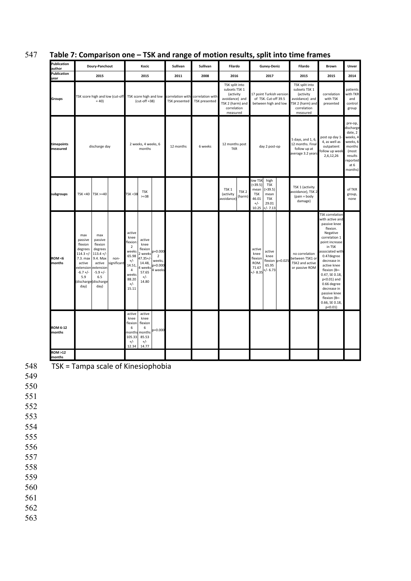| Publication<br>author       | Doury-Panchout<br>2015                                                                                              |                                                                                                                                             |                    |                                                                                                                                         | Kocic                                                                                               |                                                           | Sullivan                          | Sullivan                                                                                                                                      | Filardo                                     |                                                                                           | <b>Guney-Deniz</b>                                           |                                                                                                               | Filardo                                                                     | <b>Brown</b>                                                                                                        | Unver                                                                                                                                                                                                                                                                                                                                        |                          |
|-----------------------------|---------------------------------------------------------------------------------------------------------------------|---------------------------------------------------------------------------------------------------------------------------------------------|--------------------|-----------------------------------------------------------------------------------------------------------------------------------------|-----------------------------------------------------------------------------------------------------|-----------------------------------------------------------|-----------------------------------|-----------------------------------------------------------------------------------------------------------------------------------------------|---------------------------------------------|-------------------------------------------------------------------------------------------|--------------------------------------------------------------|---------------------------------------------------------------------------------------------------------------|-----------------------------------------------------------------------------|---------------------------------------------------------------------------------------------------------------------|----------------------------------------------------------------------------------------------------------------------------------------------------------------------------------------------------------------------------------------------------------------------------------------------------------------------------------------------|--------------------------|
| Publication<br>year         |                                                                                                                     |                                                                                                                                             | 2015               |                                                                                                                                         | 2011                                                                                                | 2008                                                      | 2016                              |                                                                                                                                               | 2017                                        |                                                                                           |                                                              | 2015                                                                                                          | 2015                                                                        | 2014                                                                                                                |                                                                                                                                                                                                                                                                                                                                              |                          |
| <b>Groups</b>               | TSK score high and low (cut-off<br>$= 40$<br>discharge day                                                          |                                                                                                                                             |                    | TSK score high and low<br>$(cut-off = 38)$<br>2 weeks, 4 weeks, 6<br>months                                                             |                                                                                                     | correlation with<br>TSK presented                         | correlation with<br>TSK presented | TSK split into<br>subsets TSK 1<br>(activity<br>avoidance) and<br>TSK 2 (harm) and<br>correlation<br>measured<br>12 months post<br><b>TKR</b> |                                             | 17 point Turkish version<br>of TSK. Cut-off 39.5<br>between high and low<br>day 2 post-op |                                                              | TSK split into<br>subsets TSK 1<br>(activity<br>avoidance) and<br>TSK 2 (harm) and<br>correlation<br>measured | correlation<br>with TSK<br>presented                                        | patients<br>with TKR<br>and<br>control<br>group                                                                     |                                                                                                                                                                                                                                                                                                                                              |                          |
| timepoints<br>measured      |                                                                                                                     |                                                                                                                                             |                    |                                                                                                                                         |                                                                                                     | 12 months                                                 | 6 weeks                           |                                                                                                                                               |                                             |                                                                                           |                                                              | 5 days, and 1, 6,<br>12 months. Final<br>follow up at<br>average 3.2 years                                    | post op day 1-<br>4, as well as<br>outpatient<br>ollow up week<br>2,6,12,26 | pre-op,<br>discharge<br>date, 2<br>weeks, 4<br>weeks, 6<br>months<br>(most<br>results<br>eported<br>at 6<br>months) |                                                                                                                                                                                                                                                                                                                                              |                          |
| subgroups                   |                                                                                                                     | TSK <40 TSK >=40                                                                                                                            |                    | <b>TSK &lt;38</b>                                                                                                                       | <b>TSK</b><br>$>=38$                                                                                |                                                           |                                   |                                                                                                                                               | TSK <sub>1</sub><br>(activity<br>avoidance) | TSK <sub>2</sub><br>(harm)                                                                | low TSK<br>( < 39.5)<br>mean<br><b>TSK</b><br>46.01<br>$+/-$ | high<br><b>TSK</b><br>( > 39.5)<br>mean<br><b>TSK</b><br>29.01<br>$10.25$ +/- 7.13                            |                                                                             | TSK 1 (activity<br>avoidance), TSK 2<br>(pain = body<br>damage)                                                     |                                                                                                                                                                                                                                                                                                                                              | of TKR<br>group,<br>none |
| ROM <6<br>months            | max<br>passive<br>flexion<br>degrees<br>$114.3 +/-$<br>7.3. max<br>active<br>extension<br>$-6.7 +/-$<br>5.9<br>day) | max<br>passive<br>flexion<br>degrees<br>$113.4 +/-$<br>9.4. Max<br>active<br>extension<br>$-5.9 +/-$<br>6.5<br>discharge (discharge<br>day) | non-<br>ignificant | active<br>knee<br>flexion:<br>$\overline{2}$<br>weeks<br>65.98<br>$+/-$<br>14.51,<br>$\overline{4}$<br>weeks<br>88.20<br>$+/-$<br>15.11 | active<br>knee<br>flexion<br>2 weeks<br>$17.35 + /$<br>14.48,<br>4 weeks<br>57.65<br>$+/-$<br>14.80 | p=0.000<br>$\overline{2}$<br>weeks,<br>p=0.000<br>4 weeks |                                   |                                                                                                                                               |                                             |                                                                                           | active<br>knee<br>flexion<br>ROM.<br>71.67                   | active<br>knee<br>65.95<br>$+/-8.35$ <sup>+/-6.73</sup>                                                       | flexion p=0.025                                                             | no correlation<br>between TSK1 or<br>TSK2 and active<br>or passive ROM                                              | <b>TSK</b> correlation<br>with active and<br>passive knee<br>flexion.<br>Negative<br>correlation 1<br>point increase<br>in TSK<br>associated with<br>0.47degree<br>decrease in<br>active knee<br>flexion (B=-<br>0.47, SE 0.18,<br>p<0.01) and<br>0.66 degree<br>decrease in<br>passive knee<br>flexion (B=-<br>0.66, SE 0.18,<br>$p<0.01$ ) |                          |
| <b>ROM 6-12</b><br>months   |                                                                                                                     |                                                                                                                                             |                    | active<br>knee<br>flexion<br>6<br>months<br>105.33<br>$+/-$<br>12.34                                                                    | active<br>knee<br>flexion<br>6<br>months<br>85.53<br>$+/-$<br>14.77                                 | p=0.000                                                   |                                   |                                                                                                                                               |                                             |                                                                                           |                                                              |                                                                                                               |                                                                             |                                                                                                                     |                                                                                                                                                                                                                                                                                                                                              |                          |
| <b>ROM &gt;12</b><br>months |                                                                                                                     |                                                                                                                                             |                    |                                                                                                                                         |                                                                                                     |                                                           |                                   |                                                                                                                                               |                                             |                                                                                           |                                                              |                                                                                                               |                                                                             |                                                                                                                     |                                                                                                                                                                                                                                                                                                                                              |                          |

#### 547 **Table 7: Comparison one – TSK and range of motion results, split into time frames**

548 TSK = Tampa scale of Kinesiophobia

549

550 551

552

553

554

555 556

557

558

559

560

561

562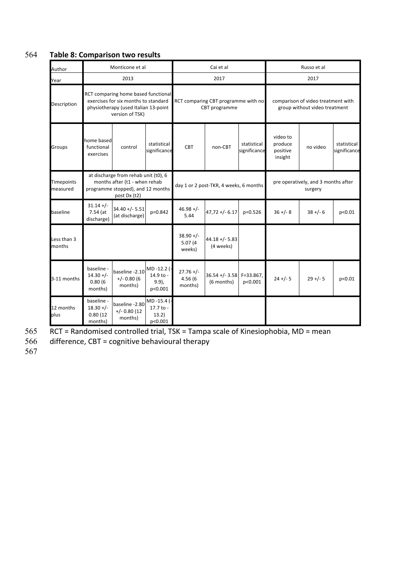#### 564 **Table 8: Comparison two results**

| Author                 |                                                  | Monticone et al                                                                                                                        |                                                |                                   | Cai et al                                            |                             | Russo et al                                                         |             |                             |  |
|------------------------|--------------------------------------------------|----------------------------------------------------------------------------------------------------------------------------------------|------------------------------------------------|-----------------------------------|------------------------------------------------------|-----------------------------|---------------------------------------------------------------------|-------------|-----------------------------|--|
| Year                   |                                                  | 2013                                                                                                                                   |                                                |                                   | 2017                                                 |                             | 2017                                                                |             |                             |  |
| Description            |                                                  | RCT comparing home based functional<br>exercises for six months to standard<br>physiotherapy (used Italian 13-point<br>version of TSK) |                                                |                                   | RCT comparing CBT programme with no<br>CBT programme |                             | comparison of video treatment with<br>group without video treatment |             |                             |  |
| Groups                 | home based<br>functional<br>exercises            | control                                                                                                                                | statistical<br>significance                    | <b>CBT</b>                        | non-CBT                                              | statistical<br>significance | video to<br>produce<br>positive<br>insight                          | no video    | statistical<br>significance |  |
| Timepoints<br>measured |                                                  | at discharge from rehab unit (t0), 6<br>months after (t1 - when rehab<br>programme stopped), and 12 months<br>post Dx (t2)             |                                                |                                   | day 1 or 2 post-TKR, 4 weeks, 6 months               |                             | pre operatively, and 3 months after<br>surgery                      |             |                             |  |
| baseline               | $31.14 +/-$<br>$7.54$ (at<br>discharge)          | $34.40 + (-5.51)$<br>(at discharge)                                                                                                    | p=0.842                                        | $46.98 +/-$<br>5.44               | $47,72 + (-6.17)$                                    | $p=0.526$                   | $36 +/- 8$                                                          | $38 + (-6)$ | p<0.01                      |  |
| Less than 3<br>months  |                                                  |                                                                                                                                        |                                                | $38.90 +/-$<br>5.07(4)<br>weeks)  | $44.18 + (-5.83)$<br>(4 weeks)                       |                             |                                                                     |             |                             |  |
| 3-11 months            | baseline -<br>$14.30 +/-$<br>0.80(6)<br>months)  | baseline -2.10<br>$+/- 0.80(6)$<br>months)                                                                                             | MD-12.2 (-<br>14.9 to -<br>$9.9$ ),<br>p<0.001 | $27.76 +/-$<br>4.56 (6<br>months) | $36.54 + (-3.58)$<br>(6 months)                      | $F = 33.867$ ,<br>p<0.001   | $24 +/- 5$                                                          | $29 +/- 5$  | p<0.01                      |  |
| 12 months<br>plus      | baseline -<br>$18.30 +/-$<br>0.80(12)<br>months) | baseline -2.80<br>$+/- 0.80(12)$<br>months)                                                                                            | MD-15.4 (-<br>17.7 to -<br>13.2)<br>p<0.001    |                                   |                                                      |                             |                                                                     |             |                             |  |

565 RCT = Randomised controlled trial, TSK = Tampa scale of Kinesiophobia, MD = mean<br>566 difference, CBT = cognitive behavioural therapy

difference, CBT = cognitive behavioural therapy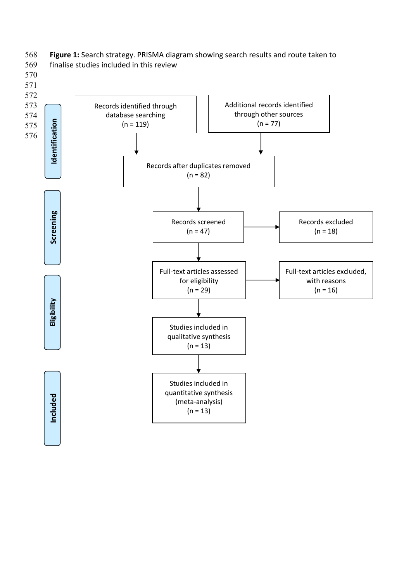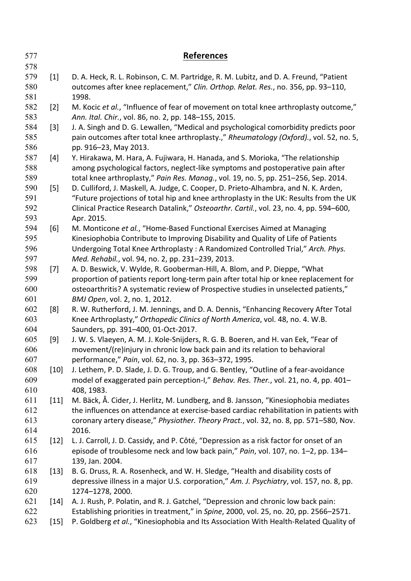| 578<br>579<br>D. A. Heck, R. L. Robinson, C. M. Partridge, R. M. Lubitz, and D. A. Freund, "Patient<br>$[1]$<br>580<br>outcomes after knee replacement," Clin. Orthop. Relat. Res., no. 356, pp. 93-110,<br>581<br>1998.<br>582<br>M. Kocic et al., "Influence of fear of movement on total knee arthroplasty outcome,"<br>$[2]$<br>583<br>Ann. Ital. Chir., vol. 86, no. 2, pp. 148-155, 2015.<br>584<br>J. A. Singh and D. G. Lewallen, "Medical and psychological comorbidity predicts poor<br>$[3]$<br>585<br>pain outcomes after total knee arthroplasty.," Rheumatology (Oxford)., vol. 52, no. 5,<br>586<br>pp. 916-23, May 2013.<br>587<br>Y. Hirakawa, M. Hara, A. Fujiwara, H. Hanada, and S. Morioka, "The relationship<br>$[4]$<br>588<br>among psychological factors, neglect-like symptoms and postoperative pain after<br>589<br>total knee arthroplasty," Pain Res. Manag., vol. 19, no. 5, pp. 251-256, Sep. 2014.<br>590<br>D. Culliford, J. Maskell, A. Judge, C. Cooper, D. Prieto-Alhambra, and N. K. Arden,<br>$[5]$<br>591<br>"Future projections of total hip and knee arthroplasty in the UK: Results from the UK<br>592<br>Clinical Practice Research Datalink," Osteoarthr. Cartil., vol. 23, no. 4, pp. 594-600,<br>593<br>Apr. 2015.<br>594<br>M. Monticone et al., "Home-Based Functional Exercises Aimed at Managing<br>[6]<br>595<br>Kinesiophobia Contribute to Improving Disability and Quality of Life of Patients<br>596<br>Undergoing Total Knee Arthroplasty: A Randomized Controlled Trial," Arch. Phys.<br>597<br>Med. Rehabil., vol. 94, no. 2, pp. 231-239, 2013.<br>598<br>A. D. Beswick, V. Wylde, R. Gooberman-Hill, A. Blom, and P. Dieppe, "What<br>$[7]$<br>599<br>proportion of patients report long-term pain after total hip or knee replacement for<br>600<br>osteoarthritis? A systematic review of Prospective studies in unselected patients,"<br>601<br>BMJ Open, vol. 2, no. 1, 2012.<br>602<br>R. W. Rutherford, J. M. Jennings, and D. A. Dennis, "Enhancing Recovery After Total<br>[8]<br>603<br>Knee Arthroplasty," Orthopedic Clinics of North America, vol. 48, no. 4. W.B.<br>604<br>Saunders, pp. 391-400, 01-Oct-2017.<br>605<br>J. W. S. Vlaeyen, A. M. J. Kole-Snijders, R. G. B. Boeren, and H. van Eek, "Fear of<br>[9]<br>606<br>movement/(re)injury in chronic low back pain and its relation to behavioral<br>607<br>performance," Pain, vol. 62, no. 3, pp. 363-372, 1995.<br>608<br>J. Lethem, P. D. Slade, J. D. G. Troup, and G. Bentley, "Outline of a fear-avoidance<br>$[10]$<br>609<br>model of exaggerated pain perception-I," Behav. Res. Ther., vol. 21, no. 4, pp. 401-<br>610<br>408, 1983.<br>611<br>M. Bäck, Å. Cider, J. Herlitz, M. Lundberg, and B. Jansson, "Kinesiophobia mediates<br>$[11]$<br>612<br>the influences on attendance at exercise-based cardiac rehabilitation in patients with<br>613<br>coronary artery disease," Physiother. Theory Pract., vol. 32, no. 8, pp. 571-580, Nov.<br>614<br>2016.<br>615<br>L. J. Carroll, J. D. Cassidy, and P. Côté, "Depression as a risk factor for onset of an<br>$[12]$<br>616<br>episode of troublesome neck and low back pain," Pain, vol. 107, no. 1-2, pp. 134-<br>617<br>139, Jan. 2004.<br>618<br>B. G. Druss, R. A. Rosenheck, and W. H. Sledge, "Health and disability costs of<br>$[13]$<br>619<br>depressive illness in a major U.S. corporation," Am. J. Psychiatry, vol. 157, no. 8, pp.<br>620<br>1274-1278, 2000.<br>621<br>A. J. Rush, P. Polatin, and R. J. Gatchel, "Depression and chronic low back pain:<br>$[14]$<br>622<br>Establishing priorities in treatment," in Spine, 2000, vol. 25, no. 20, pp. 2566-2571. | 577 |        | <b>References</b>                                                                     |
|-----------------------------------------------------------------------------------------------------------------------------------------------------------------------------------------------------------------------------------------------------------------------------------------------------------------------------------------------------------------------------------------------------------------------------------------------------------------------------------------------------------------------------------------------------------------------------------------------------------------------------------------------------------------------------------------------------------------------------------------------------------------------------------------------------------------------------------------------------------------------------------------------------------------------------------------------------------------------------------------------------------------------------------------------------------------------------------------------------------------------------------------------------------------------------------------------------------------------------------------------------------------------------------------------------------------------------------------------------------------------------------------------------------------------------------------------------------------------------------------------------------------------------------------------------------------------------------------------------------------------------------------------------------------------------------------------------------------------------------------------------------------------------------------------------------------------------------------------------------------------------------------------------------------------------------------------------------------------------------------------------------------------------------------------------------------------------------------------------------------------------------------------------------------------------------------------------------------------------------------------------------------------------------------------------------------------------------------------------------------------------------------------------------------------------------------------------------------------------------------------------------------------------------------------------------------------------------------------------------------------------------------------------------------------------------------------------------------------------------------------------------------------------------------------------------------------------------------------------------------------------------------------------------------------------------------------------------------------------------------------------------------------------------------------------------------------------------------------------------------------------------------------------------------------------------------------------------------------------------------------------------------------------------------------------------------------------------------------------------------------------------------------------------------------------------------------------------------------------------------------------------------------------------------------------------------------------------------------------------------------------------------------------------------------------------------|-----|--------|---------------------------------------------------------------------------------------|
|                                                                                                                                                                                                                                                                                                                                                                                                                                                                                                                                                                                                                                                                                                                                                                                                                                                                                                                                                                                                                                                                                                                                                                                                                                                                                                                                                                                                                                                                                                                                                                                                                                                                                                                                                                                                                                                                                                                                                                                                                                                                                                                                                                                                                                                                                                                                                                                                                                                                                                                                                                                                                                                                                                                                                                                                                                                                                                                                                                                                                                                                                                                                                                                                                                                                                                                                                                                                                                                                                                                                                                                                                                                                                         |     |        |                                                                                       |
|                                                                                                                                                                                                                                                                                                                                                                                                                                                                                                                                                                                                                                                                                                                                                                                                                                                                                                                                                                                                                                                                                                                                                                                                                                                                                                                                                                                                                                                                                                                                                                                                                                                                                                                                                                                                                                                                                                                                                                                                                                                                                                                                                                                                                                                                                                                                                                                                                                                                                                                                                                                                                                                                                                                                                                                                                                                                                                                                                                                                                                                                                                                                                                                                                                                                                                                                                                                                                                                                                                                                                                                                                                                                                         |     |        |                                                                                       |
|                                                                                                                                                                                                                                                                                                                                                                                                                                                                                                                                                                                                                                                                                                                                                                                                                                                                                                                                                                                                                                                                                                                                                                                                                                                                                                                                                                                                                                                                                                                                                                                                                                                                                                                                                                                                                                                                                                                                                                                                                                                                                                                                                                                                                                                                                                                                                                                                                                                                                                                                                                                                                                                                                                                                                                                                                                                                                                                                                                                                                                                                                                                                                                                                                                                                                                                                                                                                                                                                                                                                                                                                                                                                                         |     |        |                                                                                       |
|                                                                                                                                                                                                                                                                                                                                                                                                                                                                                                                                                                                                                                                                                                                                                                                                                                                                                                                                                                                                                                                                                                                                                                                                                                                                                                                                                                                                                                                                                                                                                                                                                                                                                                                                                                                                                                                                                                                                                                                                                                                                                                                                                                                                                                                                                                                                                                                                                                                                                                                                                                                                                                                                                                                                                                                                                                                                                                                                                                                                                                                                                                                                                                                                                                                                                                                                                                                                                                                                                                                                                                                                                                                                                         |     |        |                                                                                       |
|                                                                                                                                                                                                                                                                                                                                                                                                                                                                                                                                                                                                                                                                                                                                                                                                                                                                                                                                                                                                                                                                                                                                                                                                                                                                                                                                                                                                                                                                                                                                                                                                                                                                                                                                                                                                                                                                                                                                                                                                                                                                                                                                                                                                                                                                                                                                                                                                                                                                                                                                                                                                                                                                                                                                                                                                                                                                                                                                                                                                                                                                                                                                                                                                                                                                                                                                                                                                                                                                                                                                                                                                                                                                                         |     |        |                                                                                       |
|                                                                                                                                                                                                                                                                                                                                                                                                                                                                                                                                                                                                                                                                                                                                                                                                                                                                                                                                                                                                                                                                                                                                                                                                                                                                                                                                                                                                                                                                                                                                                                                                                                                                                                                                                                                                                                                                                                                                                                                                                                                                                                                                                                                                                                                                                                                                                                                                                                                                                                                                                                                                                                                                                                                                                                                                                                                                                                                                                                                                                                                                                                                                                                                                                                                                                                                                                                                                                                                                                                                                                                                                                                                                                         |     |        |                                                                                       |
|                                                                                                                                                                                                                                                                                                                                                                                                                                                                                                                                                                                                                                                                                                                                                                                                                                                                                                                                                                                                                                                                                                                                                                                                                                                                                                                                                                                                                                                                                                                                                                                                                                                                                                                                                                                                                                                                                                                                                                                                                                                                                                                                                                                                                                                                                                                                                                                                                                                                                                                                                                                                                                                                                                                                                                                                                                                                                                                                                                                                                                                                                                                                                                                                                                                                                                                                                                                                                                                                                                                                                                                                                                                                                         |     |        |                                                                                       |
|                                                                                                                                                                                                                                                                                                                                                                                                                                                                                                                                                                                                                                                                                                                                                                                                                                                                                                                                                                                                                                                                                                                                                                                                                                                                                                                                                                                                                                                                                                                                                                                                                                                                                                                                                                                                                                                                                                                                                                                                                                                                                                                                                                                                                                                                                                                                                                                                                                                                                                                                                                                                                                                                                                                                                                                                                                                                                                                                                                                                                                                                                                                                                                                                                                                                                                                                                                                                                                                                                                                                                                                                                                                                                         |     |        |                                                                                       |
|                                                                                                                                                                                                                                                                                                                                                                                                                                                                                                                                                                                                                                                                                                                                                                                                                                                                                                                                                                                                                                                                                                                                                                                                                                                                                                                                                                                                                                                                                                                                                                                                                                                                                                                                                                                                                                                                                                                                                                                                                                                                                                                                                                                                                                                                                                                                                                                                                                                                                                                                                                                                                                                                                                                                                                                                                                                                                                                                                                                                                                                                                                                                                                                                                                                                                                                                                                                                                                                                                                                                                                                                                                                                                         |     |        |                                                                                       |
|                                                                                                                                                                                                                                                                                                                                                                                                                                                                                                                                                                                                                                                                                                                                                                                                                                                                                                                                                                                                                                                                                                                                                                                                                                                                                                                                                                                                                                                                                                                                                                                                                                                                                                                                                                                                                                                                                                                                                                                                                                                                                                                                                                                                                                                                                                                                                                                                                                                                                                                                                                                                                                                                                                                                                                                                                                                                                                                                                                                                                                                                                                                                                                                                                                                                                                                                                                                                                                                                                                                                                                                                                                                                                         |     |        |                                                                                       |
|                                                                                                                                                                                                                                                                                                                                                                                                                                                                                                                                                                                                                                                                                                                                                                                                                                                                                                                                                                                                                                                                                                                                                                                                                                                                                                                                                                                                                                                                                                                                                                                                                                                                                                                                                                                                                                                                                                                                                                                                                                                                                                                                                                                                                                                                                                                                                                                                                                                                                                                                                                                                                                                                                                                                                                                                                                                                                                                                                                                                                                                                                                                                                                                                                                                                                                                                                                                                                                                                                                                                                                                                                                                                                         |     |        |                                                                                       |
|                                                                                                                                                                                                                                                                                                                                                                                                                                                                                                                                                                                                                                                                                                                                                                                                                                                                                                                                                                                                                                                                                                                                                                                                                                                                                                                                                                                                                                                                                                                                                                                                                                                                                                                                                                                                                                                                                                                                                                                                                                                                                                                                                                                                                                                                                                                                                                                                                                                                                                                                                                                                                                                                                                                                                                                                                                                                                                                                                                                                                                                                                                                                                                                                                                                                                                                                                                                                                                                                                                                                                                                                                                                                                         |     |        |                                                                                       |
|                                                                                                                                                                                                                                                                                                                                                                                                                                                                                                                                                                                                                                                                                                                                                                                                                                                                                                                                                                                                                                                                                                                                                                                                                                                                                                                                                                                                                                                                                                                                                                                                                                                                                                                                                                                                                                                                                                                                                                                                                                                                                                                                                                                                                                                                                                                                                                                                                                                                                                                                                                                                                                                                                                                                                                                                                                                                                                                                                                                                                                                                                                                                                                                                                                                                                                                                                                                                                                                                                                                                                                                                                                                                                         |     |        |                                                                                       |
|                                                                                                                                                                                                                                                                                                                                                                                                                                                                                                                                                                                                                                                                                                                                                                                                                                                                                                                                                                                                                                                                                                                                                                                                                                                                                                                                                                                                                                                                                                                                                                                                                                                                                                                                                                                                                                                                                                                                                                                                                                                                                                                                                                                                                                                                                                                                                                                                                                                                                                                                                                                                                                                                                                                                                                                                                                                                                                                                                                                                                                                                                                                                                                                                                                                                                                                                                                                                                                                                                                                                                                                                                                                                                         |     |        |                                                                                       |
|                                                                                                                                                                                                                                                                                                                                                                                                                                                                                                                                                                                                                                                                                                                                                                                                                                                                                                                                                                                                                                                                                                                                                                                                                                                                                                                                                                                                                                                                                                                                                                                                                                                                                                                                                                                                                                                                                                                                                                                                                                                                                                                                                                                                                                                                                                                                                                                                                                                                                                                                                                                                                                                                                                                                                                                                                                                                                                                                                                                                                                                                                                                                                                                                                                                                                                                                                                                                                                                                                                                                                                                                                                                                                         |     |        |                                                                                       |
|                                                                                                                                                                                                                                                                                                                                                                                                                                                                                                                                                                                                                                                                                                                                                                                                                                                                                                                                                                                                                                                                                                                                                                                                                                                                                                                                                                                                                                                                                                                                                                                                                                                                                                                                                                                                                                                                                                                                                                                                                                                                                                                                                                                                                                                                                                                                                                                                                                                                                                                                                                                                                                                                                                                                                                                                                                                                                                                                                                                                                                                                                                                                                                                                                                                                                                                                                                                                                                                                                                                                                                                                                                                                                         |     |        |                                                                                       |
|                                                                                                                                                                                                                                                                                                                                                                                                                                                                                                                                                                                                                                                                                                                                                                                                                                                                                                                                                                                                                                                                                                                                                                                                                                                                                                                                                                                                                                                                                                                                                                                                                                                                                                                                                                                                                                                                                                                                                                                                                                                                                                                                                                                                                                                                                                                                                                                                                                                                                                                                                                                                                                                                                                                                                                                                                                                                                                                                                                                                                                                                                                                                                                                                                                                                                                                                                                                                                                                                                                                                                                                                                                                                                         |     |        |                                                                                       |
|                                                                                                                                                                                                                                                                                                                                                                                                                                                                                                                                                                                                                                                                                                                                                                                                                                                                                                                                                                                                                                                                                                                                                                                                                                                                                                                                                                                                                                                                                                                                                                                                                                                                                                                                                                                                                                                                                                                                                                                                                                                                                                                                                                                                                                                                                                                                                                                                                                                                                                                                                                                                                                                                                                                                                                                                                                                                                                                                                                                                                                                                                                                                                                                                                                                                                                                                                                                                                                                                                                                                                                                                                                                                                         |     |        |                                                                                       |
|                                                                                                                                                                                                                                                                                                                                                                                                                                                                                                                                                                                                                                                                                                                                                                                                                                                                                                                                                                                                                                                                                                                                                                                                                                                                                                                                                                                                                                                                                                                                                                                                                                                                                                                                                                                                                                                                                                                                                                                                                                                                                                                                                                                                                                                                                                                                                                                                                                                                                                                                                                                                                                                                                                                                                                                                                                                                                                                                                                                                                                                                                                                                                                                                                                                                                                                                                                                                                                                                                                                                                                                                                                                                                         |     |        |                                                                                       |
|                                                                                                                                                                                                                                                                                                                                                                                                                                                                                                                                                                                                                                                                                                                                                                                                                                                                                                                                                                                                                                                                                                                                                                                                                                                                                                                                                                                                                                                                                                                                                                                                                                                                                                                                                                                                                                                                                                                                                                                                                                                                                                                                                                                                                                                                                                                                                                                                                                                                                                                                                                                                                                                                                                                                                                                                                                                                                                                                                                                                                                                                                                                                                                                                                                                                                                                                                                                                                                                                                                                                                                                                                                                                                         |     |        |                                                                                       |
|                                                                                                                                                                                                                                                                                                                                                                                                                                                                                                                                                                                                                                                                                                                                                                                                                                                                                                                                                                                                                                                                                                                                                                                                                                                                                                                                                                                                                                                                                                                                                                                                                                                                                                                                                                                                                                                                                                                                                                                                                                                                                                                                                                                                                                                                                                                                                                                                                                                                                                                                                                                                                                                                                                                                                                                                                                                                                                                                                                                                                                                                                                                                                                                                                                                                                                                                                                                                                                                                                                                                                                                                                                                                                         |     |        |                                                                                       |
|                                                                                                                                                                                                                                                                                                                                                                                                                                                                                                                                                                                                                                                                                                                                                                                                                                                                                                                                                                                                                                                                                                                                                                                                                                                                                                                                                                                                                                                                                                                                                                                                                                                                                                                                                                                                                                                                                                                                                                                                                                                                                                                                                                                                                                                                                                                                                                                                                                                                                                                                                                                                                                                                                                                                                                                                                                                                                                                                                                                                                                                                                                                                                                                                                                                                                                                                                                                                                                                                                                                                                                                                                                                                                         |     |        |                                                                                       |
|                                                                                                                                                                                                                                                                                                                                                                                                                                                                                                                                                                                                                                                                                                                                                                                                                                                                                                                                                                                                                                                                                                                                                                                                                                                                                                                                                                                                                                                                                                                                                                                                                                                                                                                                                                                                                                                                                                                                                                                                                                                                                                                                                                                                                                                                                                                                                                                                                                                                                                                                                                                                                                                                                                                                                                                                                                                                                                                                                                                                                                                                                                                                                                                                                                                                                                                                                                                                                                                                                                                                                                                                                                                                                         |     |        |                                                                                       |
|                                                                                                                                                                                                                                                                                                                                                                                                                                                                                                                                                                                                                                                                                                                                                                                                                                                                                                                                                                                                                                                                                                                                                                                                                                                                                                                                                                                                                                                                                                                                                                                                                                                                                                                                                                                                                                                                                                                                                                                                                                                                                                                                                                                                                                                                                                                                                                                                                                                                                                                                                                                                                                                                                                                                                                                                                                                                                                                                                                                                                                                                                                                                                                                                                                                                                                                                                                                                                                                                                                                                                                                                                                                                                         |     |        |                                                                                       |
|                                                                                                                                                                                                                                                                                                                                                                                                                                                                                                                                                                                                                                                                                                                                                                                                                                                                                                                                                                                                                                                                                                                                                                                                                                                                                                                                                                                                                                                                                                                                                                                                                                                                                                                                                                                                                                                                                                                                                                                                                                                                                                                                                                                                                                                                                                                                                                                                                                                                                                                                                                                                                                                                                                                                                                                                                                                                                                                                                                                                                                                                                                                                                                                                                                                                                                                                                                                                                                                                                                                                                                                                                                                                                         |     |        |                                                                                       |
|                                                                                                                                                                                                                                                                                                                                                                                                                                                                                                                                                                                                                                                                                                                                                                                                                                                                                                                                                                                                                                                                                                                                                                                                                                                                                                                                                                                                                                                                                                                                                                                                                                                                                                                                                                                                                                                                                                                                                                                                                                                                                                                                                                                                                                                                                                                                                                                                                                                                                                                                                                                                                                                                                                                                                                                                                                                                                                                                                                                                                                                                                                                                                                                                                                                                                                                                                                                                                                                                                                                                                                                                                                                                                         |     |        |                                                                                       |
|                                                                                                                                                                                                                                                                                                                                                                                                                                                                                                                                                                                                                                                                                                                                                                                                                                                                                                                                                                                                                                                                                                                                                                                                                                                                                                                                                                                                                                                                                                                                                                                                                                                                                                                                                                                                                                                                                                                                                                                                                                                                                                                                                                                                                                                                                                                                                                                                                                                                                                                                                                                                                                                                                                                                                                                                                                                                                                                                                                                                                                                                                                                                                                                                                                                                                                                                                                                                                                                                                                                                                                                                                                                                                         |     |        |                                                                                       |
|                                                                                                                                                                                                                                                                                                                                                                                                                                                                                                                                                                                                                                                                                                                                                                                                                                                                                                                                                                                                                                                                                                                                                                                                                                                                                                                                                                                                                                                                                                                                                                                                                                                                                                                                                                                                                                                                                                                                                                                                                                                                                                                                                                                                                                                                                                                                                                                                                                                                                                                                                                                                                                                                                                                                                                                                                                                                                                                                                                                                                                                                                                                                                                                                                                                                                                                                                                                                                                                                                                                                                                                                                                                                                         |     |        |                                                                                       |
|                                                                                                                                                                                                                                                                                                                                                                                                                                                                                                                                                                                                                                                                                                                                                                                                                                                                                                                                                                                                                                                                                                                                                                                                                                                                                                                                                                                                                                                                                                                                                                                                                                                                                                                                                                                                                                                                                                                                                                                                                                                                                                                                                                                                                                                                                                                                                                                                                                                                                                                                                                                                                                                                                                                                                                                                                                                                                                                                                                                                                                                                                                                                                                                                                                                                                                                                                                                                                                                                                                                                                                                                                                                                                         |     |        |                                                                                       |
|                                                                                                                                                                                                                                                                                                                                                                                                                                                                                                                                                                                                                                                                                                                                                                                                                                                                                                                                                                                                                                                                                                                                                                                                                                                                                                                                                                                                                                                                                                                                                                                                                                                                                                                                                                                                                                                                                                                                                                                                                                                                                                                                                                                                                                                                                                                                                                                                                                                                                                                                                                                                                                                                                                                                                                                                                                                                                                                                                                                                                                                                                                                                                                                                                                                                                                                                                                                                                                                                                                                                                                                                                                                                                         |     |        |                                                                                       |
|                                                                                                                                                                                                                                                                                                                                                                                                                                                                                                                                                                                                                                                                                                                                                                                                                                                                                                                                                                                                                                                                                                                                                                                                                                                                                                                                                                                                                                                                                                                                                                                                                                                                                                                                                                                                                                                                                                                                                                                                                                                                                                                                                                                                                                                                                                                                                                                                                                                                                                                                                                                                                                                                                                                                                                                                                                                                                                                                                                                                                                                                                                                                                                                                                                                                                                                                                                                                                                                                                                                                                                                                                                                                                         |     |        |                                                                                       |
|                                                                                                                                                                                                                                                                                                                                                                                                                                                                                                                                                                                                                                                                                                                                                                                                                                                                                                                                                                                                                                                                                                                                                                                                                                                                                                                                                                                                                                                                                                                                                                                                                                                                                                                                                                                                                                                                                                                                                                                                                                                                                                                                                                                                                                                                                                                                                                                                                                                                                                                                                                                                                                                                                                                                                                                                                                                                                                                                                                                                                                                                                                                                                                                                                                                                                                                                                                                                                                                                                                                                                                                                                                                                                         |     |        |                                                                                       |
|                                                                                                                                                                                                                                                                                                                                                                                                                                                                                                                                                                                                                                                                                                                                                                                                                                                                                                                                                                                                                                                                                                                                                                                                                                                                                                                                                                                                                                                                                                                                                                                                                                                                                                                                                                                                                                                                                                                                                                                                                                                                                                                                                                                                                                                                                                                                                                                                                                                                                                                                                                                                                                                                                                                                                                                                                                                                                                                                                                                                                                                                                                                                                                                                                                                                                                                                                                                                                                                                                                                                                                                                                                                                                         |     |        |                                                                                       |
|                                                                                                                                                                                                                                                                                                                                                                                                                                                                                                                                                                                                                                                                                                                                                                                                                                                                                                                                                                                                                                                                                                                                                                                                                                                                                                                                                                                                                                                                                                                                                                                                                                                                                                                                                                                                                                                                                                                                                                                                                                                                                                                                                                                                                                                                                                                                                                                                                                                                                                                                                                                                                                                                                                                                                                                                                                                                                                                                                                                                                                                                                                                                                                                                                                                                                                                                                                                                                                                                                                                                                                                                                                                                                         |     |        |                                                                                       |
|                                                                                                                                                                                                                                                                                                                                                                                                                                                                                                                                                                                                                                                                                                                                                                                                                                                                                                                                                                                                                                                                                                                                                                                                                                                                                                                                                                                                                                                                                                                                                                                                                                                                                                                                                                                                                                                                                                                                                                                                                                                                                                                                                                                                                                                                                                                                                                                                                                                                                                                                                                                                                                                                                                                                                                                                                                                                                                                                                                                                                                                                                                                                                                                                                                                                                                                                                                                                                                                                                                                                                                                                                                                                                         |     |        |                                                                                       |
|                                                                                                                                                                                                                                                                                                                                                                                                                                                                                                                                                                                                                                                                                                                                                                                                                                                                                                                                                                                                                                                                                                                                                                                                                                                                                                                                                                                                                                                                                                                                                                                                                                                                                                                                                                                                                                                                                                                                                                                                                                                                                                                                                                                                                                                                                                                                                                                                                                                                                                                                                                                                                                                                                                                                                                                                                                                                                                                                                                                                                                                                                                                                                                                                                                                                                                                                                                                                                                                                                                                                                                                                                                                                                         |     |        |                                                                                       |
|                                                                                                                                                                                                                                                                                                                                                                                                                                                                                                                                                                                                                                                                                                                                                                                                                                                                                                                                                                                                                                                                                                                                                                                                                                                                                                                                                                                                                                                                                                                                                                                                                                                                                                                                                                                                                                                                                                                                                                                                                                                                                                                                                                                                                                                                                                                                                                                                                                                                                                                                                                                                                                                                                                                                                                                                                                                                                                                                                                                                                                                                                                                                                                                                                                                                                                                                                                                                                                                                                                                                                                                                                                                                                         |     |        |                                                                                       |
|                                                                                                                                                                                                                                                                                                                                                                                                                                                                                                                                                                                                                                                                                                                                                                                                                                                                                                                                                                                                                                                                                                                                                                                                                                                                                                                                                                                                                                                                                                                                                                                                                                                                                                                                                                                                                                                                                                                                                                                                                                                                                                                                                                                                                                                                                                                                                                                                                                                                                                                                                                                                                                                                                                                                                                                                                                                                                                                                                                                                                                                                                                                                                                                                                                                                                                                                                                                                                                                                                                                                                                                                                                                                                         |     |        |                                                                                       |
|                                                                                                                                                                                                                                                                                                                                                                                                                                                                                                                                                                                                                                                                                                                                                                                                                                                                                                                                                                                                                                                                                                                                                                                                                                                                                                                                                                                                                                                                                                                                                                                                                                                                                                                                                                                                                                                                                                                                                                                                                                                                                                                                                                                                                                                                                                                                                                                                                                                                                                                                                                                                                                                                                                                                                                                                                                                                                                                                                                                                                                                                                                                                                                                                                                                                                                                                                                                                                                                                                                                                                                                                                                                                                         |     |        |                                                                                       |
|                                                                                                                                                                                                                                                                                                                                                                                                                                                                                                                                                                                                                                                                                                                                                                                                                                                                                                                                                                                                                                                                                                                                                                                                                                                                                                                                                                                                                                                                                                                                                                                                                                                                                                                                                                                                                                                                                                                                                                                                                                                                                                                                                                                                                                                                                                                                                                                                                                                                                                                                                                                                                                                                                                                                                                                                                                                                                                                                                                                                                                                                                                                                                                                                                                                                                                                                                                                                                                                                                                                                                                                                                                                                                         |     |        |                                                                                       |
|                                                                                                                                                                                                                                                                                                                                                                                                                                                                                                                                                                                                                                                                                                                                                                                                                                                                                                                                                                                                                                                                                                                                                                                                                                                                                                                                                                                                                                                                                                                                                                                                                                                                                                                                                                                                                                                                                                                                                                                                                                                                                                                                                                                                                                                                                                                                                                                                                                                                                                                                                                                                                                                                                                                                                                                                                                                                                                                                                                                                                                                                                                                                                                                                                                                                                                                                                                                                                                                                                                                                                                                                                                                                                         |     |        |                                                                                       |
|                                                                                                                                                                                                                                                                                                                                                                                                                                                                                                                                                                                                                                                                                                                                                                                                                                                                                                                                                                                                                                                                                                                                                                                                                                                                                                                                                                                                                                                                                                                                                                                                                                                                                                                                                                                                                                                                                                                                                                                                                                                                                                                                                                                                                                                                                                                                                                                                                                                                                                                                                                                                                                                                                                                                                                                                                                                                                                                                                                                                                                                                                                                                                                                                                                                                                                                                                                                                                                                                                                                                                                                                                                                                                         |     |        |                                                                                       |
|                                                                                                                                                                                                                                                                                                                                                                                                                                                                                                                                                                                                                                                                                                                                                                                                                                                                                                                                                                                                                                                                                                                                                                                                                                                                                                                                                                                                                                                                                                                                                                                                                                                                                                                                                                                                                                                                                                                                                                                                                                                                                                                                                                                                                                                                                                                                                                                                                                                                                                                                                                                                                                                                                                                                                                                                                                                                                                                                                                                                                                                                                                                                                                                                                                                                                                                                                                                                                                                                                                                                                                                                                                                                                         |     |        |                                                                                       |
|                                                                                                                                                                                                                                                                                                                                                                                                                                                                                                                                                                                                                                                                                                                                                                                                                                                                                                                                                                                                                                                                                                                                                                                                                                                                                                                                                                                                                                                                                                                                                                                                                                                                                                                                                                                                                                                                                                                                                                                                                                                                                                                                                                                                                                                                                                                                                                                                                                                                                                                                                                                                                                                                                                                                                                                                                                                                                                                                                                                                                                                                                                                                                                                                                                                                                                                                                                                                                                                                                                                                                                                                                                                                                         |     |        |                                                                                       |
|                                                                                                                                                                                                                                                                                                                                                                                                                                                                                                                                                                                                                                                                                                                                                                                                                                                                                                                                                                                                                                                                                                                                                                                                                                                                                                                                                                                                                                                                                                                                                                                                                                                                                                                                                                                                                                                                                                                                                                                                                                                                                                                                                                                                                                                                                                                                                                                                                                                                                                                                                                                                                                                                                                                                                                                                                                                                                                                                                                                                                                                                                                                                                                                                                                                                                                                                                                                                                                                                                                                                                                                                                                                                                         | 623 | $[15]$ | P. Goldberg et al., "Kinesiophobia and Its Association With Health-Related Quality of |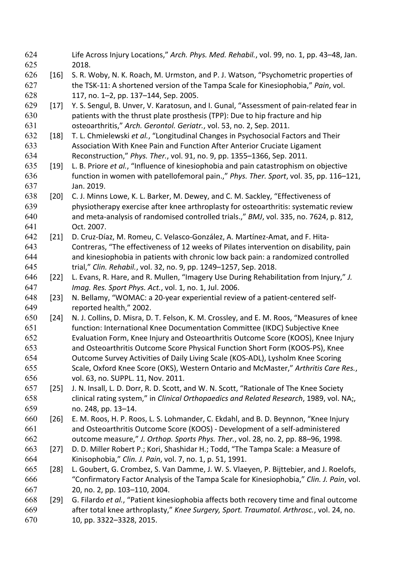Life Across Injury Locations," *Arch. Phys. Med. Rehabil.*, vol. 99, no. 1, pp. 43–48, Jan. 2018. [16] S. R. Woby, N. K. Roach, M. Urmston, and P. J. Watson, "Psychometric properties of the TSK-11: A shortened version of the Tampa Scale for Kinesiophobia," *Pain*, vol. 117, no. 1–2, pp. 137–144, Sep. 2005. [17] Y. S. Sengul, B. Unver, V. Karatosun, and I. Gunal, "Assessment of pain-related fear in patients with the thrust plate prosthesis (TPP): Due to hip fracture and hip osteoarthritis," *Arch. Gerontol. Geriatr.*, vol. 53, no. 2, Sep. 2011. [18] T. L. Chmielewski *et al.*, "Longitudinal Changes in Psychosocial Factors and Their Association With Knee Pain and Function After Anterior Cruciate Ligament Reconstruction," *Phys. Ther.*, vol. 91, no. 9, pp. 1355–1366, Sep. 2011. [19] L. B. Priore *et al.*, "Influence of kinesiophobia and pain catastrophism on objective function in women with patellofemoral pain.," *Phys. Ther. Sport*, vol. 35, pp. 116–121, Jan. 2019. [20] C. J. Minns Lowe, K. L. Barker, M. Dewey, and C. M. Sackley, "Effectiveness of physiotherapy exercise after knee arthroplasty for osteoarthritis: systematic review and meta-analysis of randomised controlled trials.," *BMJ*, vol. 335, no. 7624, p. 812, Oct. 2007. [21] D. Cruz-Díaz, M. Romeu, C. Velasco-González, A. Martínez-Amat, and F. Hita- Contreras, "The effectiveness of 12 weeks of Pilates intervention on disability, pain and kinesiophobia in patients with chronic low back pain: a randomized controlled trial," *Clin. Rehabil.*, vol. 32, no. 9, pp. 1249–1257, Sep. 2018. [22] L. Evans, R. Hare, and R. Mullen, "Imagery Use During Rehabilitation from Injury," *J. Imag. Res. Sport Phys. Act.*, vol. 1, no. 1, Jul. 2006. [23] N. Bellamy, "WOMAC: a 20-year experiential review of a patient-centered self- reported health," 2002. [24] N. J. Collins, D. Misra, D. T. Felson, K. M. Crossley, and E. M. Roos, "Measures of knee function: International Knee Documentation Committee (IKDC) Subjective Knee Evaluation Form, Knee Injury and Osteoarthritis Outcome Score (KOOS), Knee Injury and Osteoarthritis Outcome Score Physical Function Short Form (KOOS-PS), Knee Outcome Survey Activities of Daily Living Scale (KOS-ADL), Lysholm Knee Scoring Scale, Oxford Knee Score (OKS), Western Ontario and McMaster," *Arthritis Care Res.*, vol. 63, no. SUPPL. 11, Nov. 2011. [25] J. N. Insall, L. D. Dorr, R. D. Scott, and W. N. Scott, "Rationale of The Knee Society clinical rating system," in *Clinical Orthopaedics and Related Research*, 1989, vol. NA;, no. 248, pp. 13–14. [26] E. M. Roos, H. P. Roos, L. S. Lohmander, C. Ekdahl, and B. D. Beynnon, "Knee Injury and Osteoarthritis Outcome Score (KOOS) - Development of a self-administered outcome measure," *J. Orthop. Sports Phys. Ther.*, vol. 28, no. 2, pp. 88–96, 1998. [27] D. D. Miller Robert P.; Kori, Shashidar H.; Todd, "The Tampa Scale: a Measure of Kinisophobia," *Clin. J. Pain*, vol. 7, no. 1, p. 51, 1991. [28] L. Goubert, G. Crombez, S. Van Damme, J. W. S. Vlaeyen, P. Bijttebier, and J. Roelofs, "Confirmatory Factor Analysis of the Tampa Scale for Kinesiophobia," *Clin. J. Pain*, vol. 20, no. 2, pp. 103–110, 2004. [29] G. Filardo *et al.*, "Patient kinesiophobia affects both recovery time and final outcome after total knee arthroplasty," *Knee Surgery, Sport. Traumatol. Arthrosc.*, vol. 24, no. 10, pp. 3322–3328, 2015.